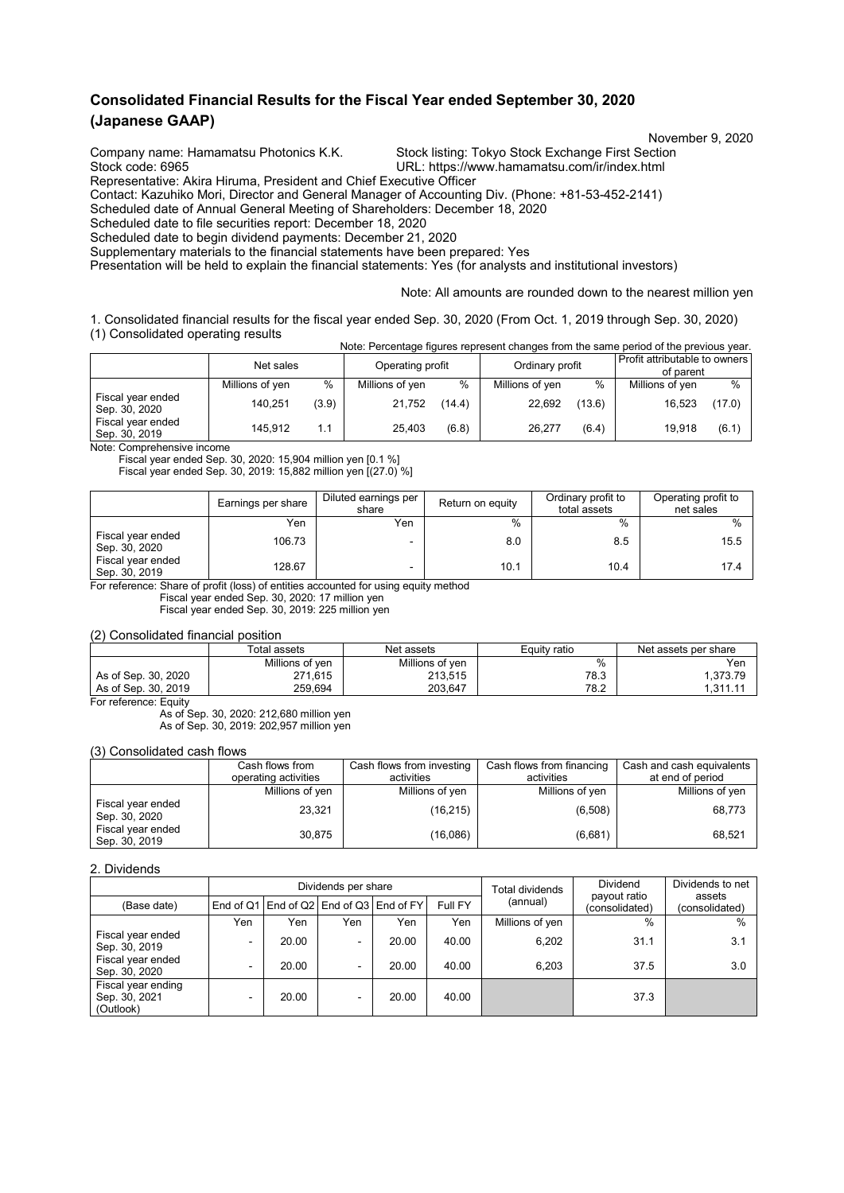## **Consolidated Financial Results for the Fiscal Year ended September 30, 2020 (Japanese GAAP)**

November 9, 2020<br>Company name: Hamamatsu Photonics K.K. Stock listing: Tokyo Stock Exchange First Section

Stock listing: Tokyo Stock Exchange First Section Stock code: 6965 URL: https://www.hamamatsu.com/ir/index.html

Representative: Akira Hiruma, President and Chief Executive Officer Contact: Kazuhiko Mori, Director and General Manager of Accounting Div. (Phone: +81-53-452-2141)

Scheduled date of Annual General Meeting of Shareholders: December 18, 2020

Scheduled date to file securities report: December 18, 2020

Scheduled date to begin dividend payments: December 21, 2020

Supplementary materials to the financial statements have been prepared: Yes

Presentation will be held to explain the financial statements: Yes (for analysts and institutional investors)

Note: All amounts are rounded down to the nearest million yen

1. Consolidated financial results for the fiscal year ended Sep. 30, 2020 (From Oct. 1, 2019 through Sep. 30, 2020) (1) Consolidated operating results Note: Percentage figures represent changes from the same period of the previous year.

|                                    | Net sales       |       | Operating profit |        | Ordinary profit |        | Profit attributable to owners<br>of parent |        |
|------------------------------------|-----------------|-------|------------------|--------|-----------------|--------|--------------------------------------------|--------|
|                                    | Millions of yen | $\%$  | Millions of yen  | $\%$   | Millions of yen | $\%$   | Millions of yen                            | $\%$   |
| Fiscal year ended<br>Sep. 30, 2020 | 140.251         | (3.9) | 21,752           | (14.4) | 22,692          | (13.6) | 16,523                                     | (17.0) |
| Fiscal year ended<br>Sep. 30, 2019 | 145.912         | 1.1   | 25.403           | (6.8)  | 26.277          | (6.4)  | 19.918                                     | (6.1)  |

Note: Comprehensive income

Fiscal year ended Sep. 30, 2020: 15,904 million yen [0.1 %]

Fiscal year ended Sep. 30, 2019: 15,882 million yen [(27.0) %]

|                                    | Earnings per share | Diluted earnings per<br>share | Return on equity | Ordinary profit to<br>total assets | Operating profit to<br>net sales |
|------------------------------------|--------------------|-------------------------------|------------------|------------------------------------|----------------------------------|
|                                    | Yen                | Yen                           | $\%$             | $\%$                               | $\frac{0}{0}$                    |
| Fiscal year ended<br>Sep. 30, 2020 | 106.73             |                               | 8.0              | 8.5                                | 15.5                             |
| Fiscal year ended<br>Sep. 30, 2019 | 128.67             | ٠                             | 10.1             | 10.4                               | 17.4                             |

For reference: Share of profit (loss) of entities accounted for using equity method

Fiscal year ended Sep. 30, 2020: 17 million yen

Fiscal year ended Sep. 30, 2019: 225 million yen

(2) Consolidated financial position

|                     | Total assets    | Net assets      | Equity ratio | Net assets per share |
|---------------------|-----------------|-----------------|--------------|----------------------|
|                     | Millions of ven | Millions of yen | %            | Yen                  |
| As of Sep. 30, 2020 | 271,615         | 213.515         | 78.3         | 1.373.79             |
| As of Sep. 30, 2019 | 259.694         | 203.647         | 78.2         | 1.311.1              |

For reference: Equity

As of Sep. 30, 2020: 212,680 million yen As of Sep. 30, 2019: 202,957 million yen

(3) Consolidated cash flows

|                                    | Cash flows from      | Cash flows from investing | Cash flows from financing | Cash and cash equivalents |
|------------------------------------|----------------------|---------------------------|---------------------------|---------------------------|
|                                    | operating activities | activities                | activities                | at end of period          |
|                                    | Millions of yen      | Millions of yen           | Millions of yen           | Millions of yen           |
| Fiscal year ended<br>Sep. 30, 2020 | 23,321               | (16, 215)                 | (6,508)                   | 68,773                    |
| Fiscal year ended<br>Sep. 30, 2019 | 30,875               | (16,086)                  | (6,681)                   | 68,521                    |

#### 2. Dividends

|                                                  |     |       | Dividend<br>Dividends per share<br>Total dividends |                                         |         |                 | Dividends to net               |                          |
|--------------------------------------------------|-----|-------|----------------------------------------------------|-----------------------------------------|---------|-----------------|--------------------------------|--------------------------|
| (Base date)                                      |     |       |                                                    | End of Q1 End of Q2 End of Q3 End of FY | Full FY | (annual)        | payout ratio<br>(consolidated) | assets<br>(consolidated) |
|                                                  | Yen | Yen   | Yen                                                | Yen                                     | Yen     | Millions of yen | $\%$                           | $\%$                     |
| Fiscal year ended<br>Sep. 30, 2019               | -   | 20.00 | $\sim$                                             | 20.00                                   | 40.00   | 6.202           | 31.1                           | 3.1                      |
| Fiscal year ended<br>Sep. 30, 2020               |     | 20.00 |                                                    | 20.00                                   | 40.00   | 6.203           | 37.5                           | 3.0                      |
| Fiscal year ending<br>Sep. 30, 2021<br>(Outlook) |     | 20.00 |                                                    | 20.00                                   | 40.00   |                 | 37.3                           |                          |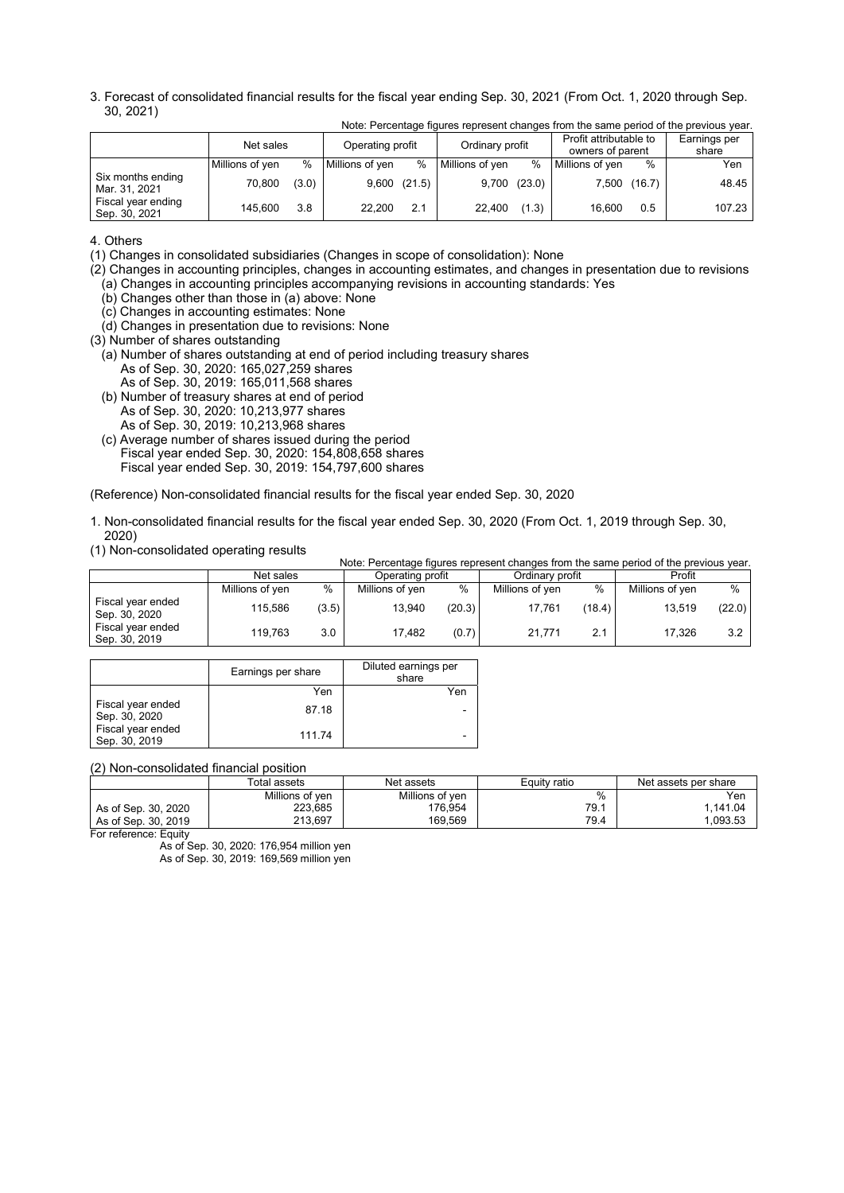3. Forecast of consolidated financial results for the fiscal year ending Sep. 30, 2021 (From Oct. 1, 2020 through Sep. 30, 2021)

|                                     | Net sales       | Operating profit |                 | Ordinary profit  |                 | Profit attributable to<br>owners of parent |                 | Earnings per<br>share |        |
|-------------------------------------|-----------------|------------------|-----------------|------------------|-----------------|--------------------------------------------|-----------------|-----------------------|--------|
|                                     | Millions of yen | $\%$             | Millions of yen | $\frac{0}{0}$    | Millions of yen | $\%$                                       | Millions of yen | %                     | Yen    |
| Six months ending<br>Mar. 31, 2021  | 70,800          | (3.0)            |                 | $9,600$ $(21.5)$ | 9,700           | (23.0)                                     | 7,500           | (16.7)                | 48.45  |
| Fiscal year ending<br>Sep. 30, 2021 | 145.600         | 3.8              | 22.200          | 2.1              | 22.400          | (1.3)                                      | 16.600          | 0.5                   | 107.23 |

Note: Percentage figures represent changes from the same period of the previous year.

4. Others

(1) Changes in consolidated subsidiaries (Changes in scope of consolidation): None

(2) Changes in accounting principles, changes in accounting estimates, and changes in presentation due to revisions (a) Changes in accounting principles accompanying revisions in accounting standards: Yes

(b) Changes other than those in (a) above: None

- (c) Changes in accounting estimates: None
- (d) Changes in presentation due to revisions: None
- (3) Number of shares outstanding
- (a) Number of shares outstanding at end of period including treasury shares As of Sep. 30, 2020: 165,027,259 shares
	- As of Sep. 30, 2019: 165,011,568 shares
- (b) Number of treasury shares at end of period As of Sep. 30, 2020: 10,213,977 shares As of Sep. 30, 2019: 10,213,968 shares
- (c) Average number of shares issued during the period Fiscal year ended Sep. 30, 2020: 154,808,658 shares Fiscal year ended Sep. 30, 2019: 154,797,600 shares

(Reference) Non-consolidated financial results for the fiscal year ended Sep. 30, 2020

- 1. Non-consolidated financial results for the fiscal year ended Sep. 30, 2020 (From Oct. 1, 2019 through Sep. 30, 2020)
- (1) Non-consolidated operating results

|                                    |                 |       |                  |        |                 |        | Note: Percentage figures represent changes from the same period of the previous year. |        |
|------------------------------------|-----------------|-------|------------------|--------|-----------------|--------|---------------------------------------------------------------------------------------|--------|
|                                    | Net sales       |       | Operating profit |        | Ordinary profit |        | Profit                                                                                |        |
|                                    | Millions of yen | %     | Millions of yen  | %      | Millions of yen | %      | Millions of yen                                                                       | %      |
| Fiscal year ended<br>Sep. 30, 2020 | 115.586         | (3.5) | 13.940           | (20.3) | 17.761          | (18.4) | 13.519                                                                                | (22.0) |
| Fiscal year ended<br>Sep. 30, 2019 | 119.763         | 3.0   | 17.482           | (0.7)  | 21.771          | 2.1    | 17.326                                                                                | 3.2    |

|                                    | Earnings per share | Diluted earnings per<br>share |
|------------------------------------|--------------------|-------------------------------|
|                                    | Yen                | Yen                           |
| Fiscal year ended<br>Sep. 30, 2020 | 87.18              |                               |
| Fiscal year ended<br>Sep. 30, 2019 | 111.74             |                               |

(2) Non-consolidated financial position

|                                       | Total assets    | Net assets      | Equity ratio | Net assets per share |
|---------------------------------------|-----------------|-----------------|--------------|----------------------|
|                                       | Millions of ven | Millions of ven | %            | Yen                  |
| As of Sep. 30, 2020                   | 223.685         | 176,954         | 79.1         | 1.141.04             |
| As of Sep. 30, 2019                   | 213.697         | 169.569         | 79.4         | .093.53              |
| E - - - - f - - - - - - - E - - 4 - - |                 |                 |              |                      |

For reference: Equity

As of Sep. 30, 2020: 176,954 million yen

As of Sep. 30, 2019: 169,569 million yen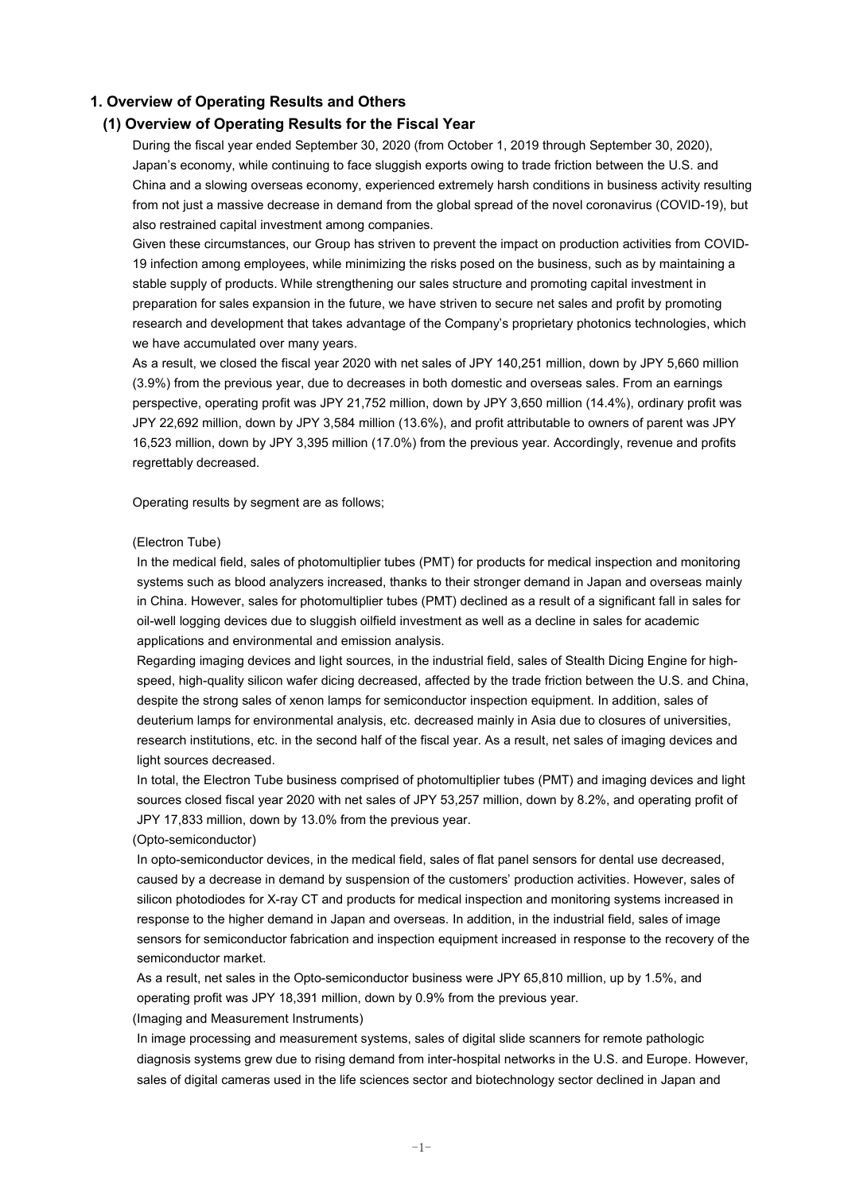#### **1. Overview of Operating Results and Others**

#### **(1) Overview of Operating Results for the Fiscal Year**

During the fiscal year ended September 30, 2020 (from October 1, 2019 through September 30, 2020), Japan's economy, while continuing to face sluggish exports owing to trade friction between the U.S. and China and a slowing overseas economy, experienced extremely harsh conditions in business activity resulting from not just a massive decrease in demand from the global spread of the novel coronavirus (COVID-19), but also restrained capital investment among companies.

Given these circumstances, our Group has striven to prevent the impact on production activities from COVID-19 infection among employees, while minimizing the risks posed on the business, such as by maintaining a stable supply of products. While strengthening our sales structure and promoting capital investment in preparation for sales expansion in the future, we have striven to secure net sales and profit by promoting research and development that takes advantage of the Company's proprietary photonics technologies, which we have accumulated over many years.

As a result, we closed the fiscal year 2020 with net sales of JPY 140,251 million, down by JPY 5,660 million (3.9%) from the previous year, due to decreases in both domestic and overseas sales. From an earnings perspective, operating profit was JPY 21,752 million, down by JPY 3,650 million (14.4%), ordinary profit was JPY 22,692 million, down by JPY 3,584 million (13.6%), and profit attributable to owners of parent was JPY 16,523 million, down by JPY 3,395 million (17.0%) from the previous year. Accordingly, revenue and profits regrettably decreased.

Operating results by segment are as follows;

#### (Electron Tube)

In the medical field, sales of photomultiplier tubes (PMT) for products for medical inspection and monitoring systems such as blood analyzers increased, thanks to their stronger demand in Japan and overseas mainly in China. However, sales for photomultiplier tubes (PMT) declined as a result of a significant fall in sales for oil-well logging devices due to sluggish oilfield investment as well as a decline in sales for academic applications and environmental and emission analysis.

Regarding imaging devices and light sources, in the industrial field, sales of Stealth Dicing Engine for highspeed, high-quality silicon wafer dicing decreased, affected by the trade friction between the U.S. and China, despite the strong sales of xenon lamps for semiconductor inspection equipment. In addition, sales of deuterium lamps for environmental analysis, etc. decreased mainly in Asia due to closures of universities, research institutions, etc. in the second half of the fiscal year. As a result, net sales of imaging devices and light sources decreased.

In total, the Electron Tube business comprised of photomultiplier tubes (PMT) and imaging devices and light sources closed fiscal year 2020 with net sales of JPY 53,257 million, down by 8.2%, and operating profit of JPY 17,833 million, down by 13.0% from the previous year.

#### (Opto-semiconductor)

In opto-semiconductor devices, in the medical field, sales of flat panel sensors for dental use decreased, caused by a decrease in demand by suspension of the customers' production activities. However, sales of silicon photodiodes for X-ray CT and products for medical inspection and monitoring systems increased in response to the higher demand in Japan and overseas. In addition, in the industrial field, sales of image sensors for semiconductor fabrication and inspection equipment increased in response to the recovery of the semiconductor market.

As a result, net sales in the Opto-semiconductor business were JPY 65,810 million, up by 1.5%, and operating profit was JPY 18,391 million, down by 0.9% from the previous year.

(Imaging and Measurement Instruments)

In image processing and measurement systems, sales of digital slide scanners for remote pathologic diagnosis systems grew due to rising demand from inter-hospital networks in the U.S. and Europe. However, sales of digital cameras used in the life sciences sector and biotechnology sector declined in Japan and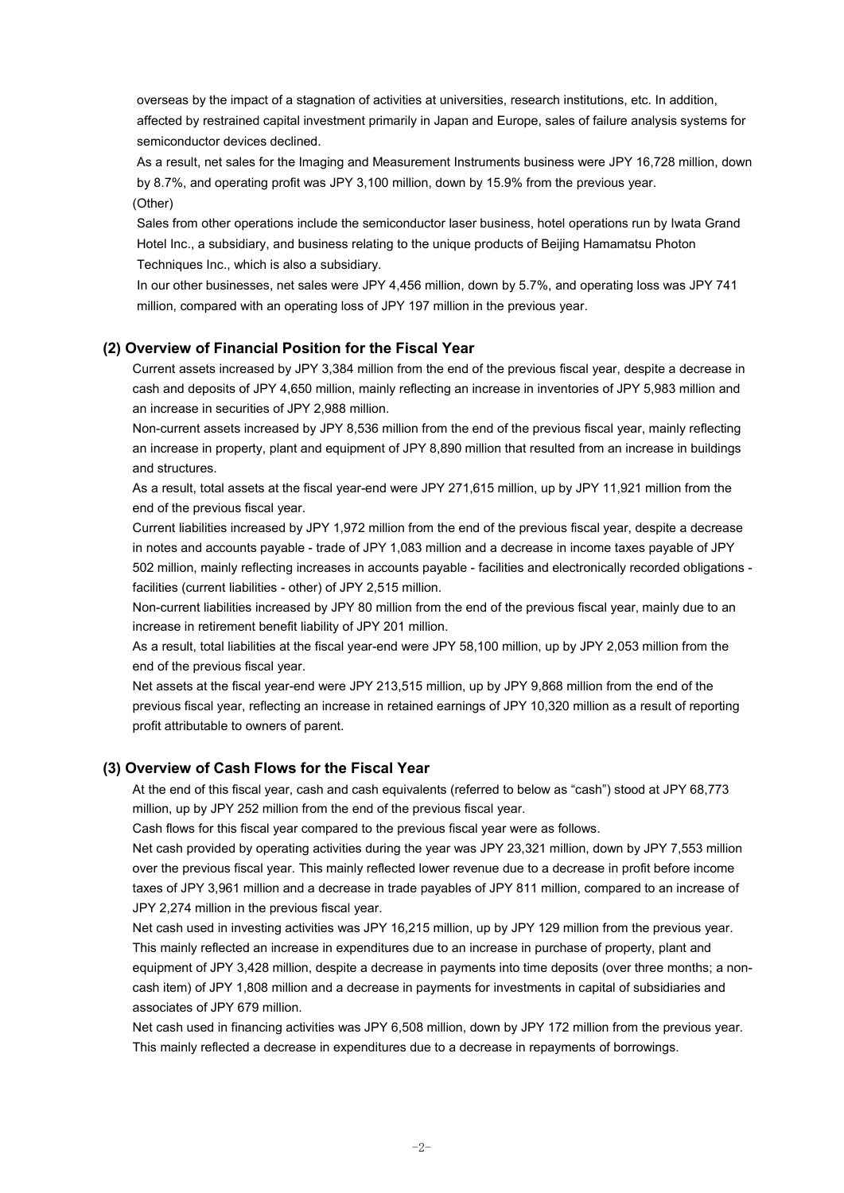overseas by the impact of a stagnation of activities at universities, research institutions, etc. In addition, affected by restrained capital investment primarily in Japan and Europe, sales of failure analysis systems for semiconductor devices declined.

As a result, net sales for the Imaging and Measurement Instruments business were JPY 16,728 million, down by 8.7%, and operating profit was JPY 3,100 million, down by 15.9% from the previous year. (Other)

Sales from other operations include the semiconductor laser business, hotel operations run by Iwata Grand Hotel Inc., a subsidiary, and business relating to the unique products of Beijing Hamamatsu Photon Techniques Inc., which is also a subsidiary.

In our other businesses, net sales were JPY 4,456 million, down by 5.7%, and operating loss was JPY 741 million, compared with an operating loss of JPY 197 million in the previous year.

#### **(2) Overview of Financial Position for the Fiscal Year**

Current assets increased by JPY 3,384 million from the end of the previous fiscal year, despite a decrease in cash and deposits of JPY 4,650 million, mainly reflecting an increase in inventories of JPY 5,983 million and an increase in securities of JPY 2,988 million.

Non-current assets increased by JPY 8,536 million from the end of the previous fiscal year, mainly reflecting an increase in property, plant and equipment of JPY 8,890 million that resulted from an increase in buildings and structures.

As a result, total assets at the fiscal year-end were JPY 271,615 million, up by JPY 11,921 million from the end of the previous fiscal year.

Current liabilities increased by JPY 1,972 million from the end of the previous fiscal year, despite a decrease in notes and accounts payable - trade of JPY 1,083 million and a decrease in income taxes payable of JPY 502 million, mainly reflecting increases in accounts payable - facilities and electronically recorded obligations facilities (current liabilities - other) of JPY 2,515 million.

Non-current liabilities increased by JPY 80 million from the end of the previous fiscal year, mainly due to an increase in retirement benefit liability of JPY 201 million.

As a result, total liabilities at the fiscal year-end were JPY 58,100 million, up by JPY 2,053 million from the end of the previous fiscal year.

Net assets at the fiscal year-end were JPY 213,515 million, up by JPY 9,868 million from the end of the previous fiscal year, reflecting an increase in retained earnings of JPY 10,320 million as a result of reporting profit attributable to owners of parent.

#### **(3) Overview of Cash Flows for the Fiscal Year**

At the end of this fiscal year, cash and cash equivalents (referred to below as "cash") stood at JPY 68,773 million, up by JPY 252 million from the end of the previous fiscal year.

Cash flows for this fiscal year compared to the previous fiscal year were as follows.

Net cash provided by operating activities during the year was JPY 23,321 million, down by JPY 7,553 million over the previous fiscal year. This mainly reflected lower revenue due to a decrease in profit before income taxes of JPY 3,961 million and a decrease in trade payables of JPY 811 million, compared to an increase of JPY 2,274 million in the previous fiscal year.

Net cash used in investing activities was JPY 16,215 million, up by JPY 129 million from the previous year. This mainly reflected an increase in expenditures due to an increase in purchase of property, plant and equipment of JPY 3,428 million, despite a decrease in payments into time deposits (over three months; a noncash item) of JPY 1,808 million and a decrease in payments for investments in capital of subsidiaries and associates of JPY 679 million.

Net cash used in financing activities was JPY 6,508 million, down by JPY 172 million from the previous year. This mainly reflected a decrease in expenditures due to a decrease in repayments of borrowings.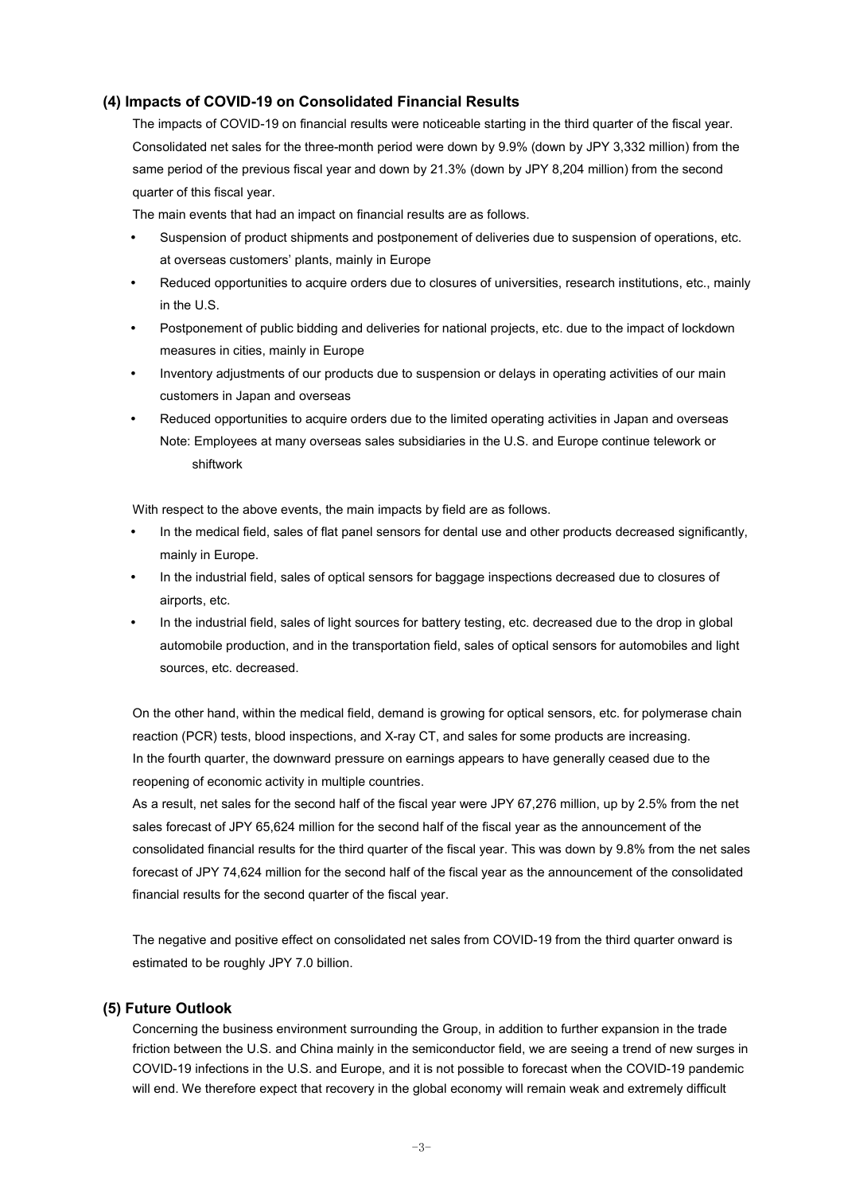#### **(4) Impacts of COVID-19 on Consolidated Financial Results**

The impacts of COVID-19 on financial results were noticeable starting in the third quarter of the fiscal year. Consolidated net sales for the three-month period were down by 9.9% (down by JPY 3,332 million) from the same period of the previous fiscal year and down by 21.3% (down by JPY 8,204 million) from the second quarter of this fiscal year.

The main events that had an impact on financial results are as follows.

- Suspension of product shipments and postponement of deliveries due to suspension of operations, etc. at overseas customers' plants, mainly in Europe
- Reduced opportunities to acquire orders due to closures of universities, research institutions, etc., mainly in the U.S.
- Postponement of public bidding and deliveries for national projects, etc. due to the impact of lockdown measures in cities, mainly in Europe
- Inventory adjustments of our products due to suspension or delays in operating activities of our main customers in Japan and overseas
- Reduced opportunities to acquire orders due to the limited operating activities in Japan and overseas Note: Employees at many overseas sales subsidiaries in the U.S. and Europe continue telework or shiftwork

With respect to the above events, the main impacts by field are as follows.

- In the medical field, sales of flat panel sensors for dental use and other products decreased significantly, mainly in Europe.
- In the industrial field, sales of optical sensors for baggage inspections decreased due to closures of airports, etc.
- In the industrial field, sales of light sources for battery testing, etc. decreased due to the drop in global automobile production, and in the transportation field, sales of optical sensors for automobiles and light sources, etc. decreased.

On the other hand, within the medical field, demand is growing for optical sensors, etc. for polymerase chain reaction (PCR) tests, blood inspections, and X-ray CT, and sales for some products are increasing. In the fourth quarter, the downward pressure on earnings appears to have generally ceased due to the reopening of economic activity in multiple countries.

As a result, net sales for the second half of the fiscal year were JPY 67,276 million, up by 2.5% from the net sales forecast of JPY 65,624 million for the second half of the fiscal year as the announcement of the consolidated financial results for the third quarter of the fiscal year. This was down by 9.8% from the net sales forecast of JPY 74,624 million for the second half of the fiscal year as the announcement of the consolidated financial results for the second quarter of the fiscal year.

The negative and positive effect on consolidated net sales from COVID-19 from the third quarter onward is estimated to be roughly JPY 7.0 billion.

#### **(5) Future Outlook**

Concerning the business environment surrounding the Group, in addition to further expansion in the trade friction between the U.S. and China mainly in the semiconductor field, we are seeing a trend of new surges in COVID-19 infections in the U.S. and Europe, and it is not possible to forecast when the COVID-19 pandemic will end. We therefore expect that recovery in the global economy will remain weak and extremely difficult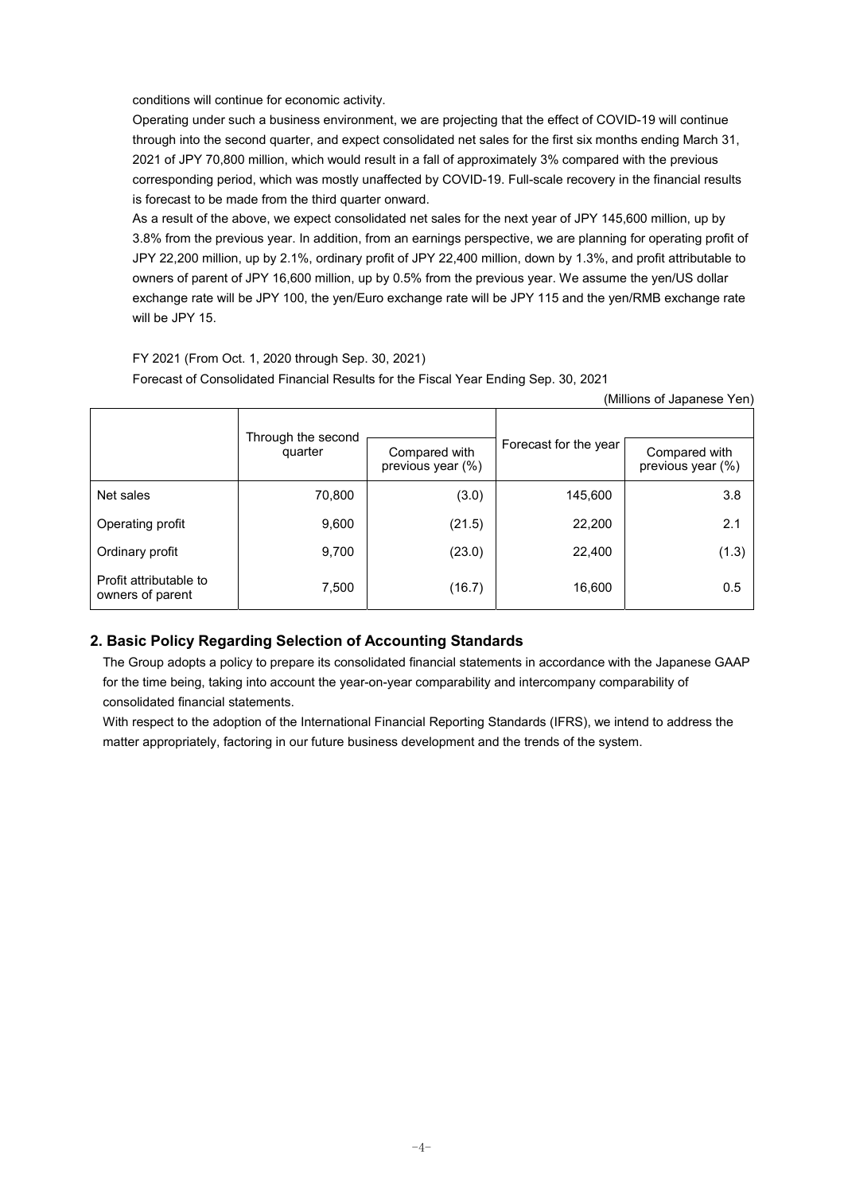conditions will continue for economic activity.

Operating under such a business environment, we are projecting that the effect of COVID-19 will continue through into the second quarter, and expect consolidated net sales for the first six months ending March 31, 2021 of JPY 70,800 million, which would result in a fall of approximately 3% compared with the previous corresponding period, which was mostly unaffected by COVID-19. Full-scale recovery in the financial results is forecast to be made from the third quarter onward.

As a result of the above, we expect consolidated net sales for the next year of JPY 145,600 million, up by 3.8% from the previous year. In addition, from an earnings perspective, we are planning for operating profit of JPY 22,200 million, up by 2.1%, ordinary profit of JPY 22,400 million, down by 1.3%, and profit attributable to owners of parent of JPY 16,600 million, up by 0.5% from the previous year. We assume the yen/US dollar exchange rate will be JPY 100, the yen/Euro exchange rate will be JPY 115 and the yen/RMB exchange rate will be JPY 15.

(Millions of Japanese Yen)

### FY 2021 (From Oct. 1, 2020 through Sep. 30, 2021) Forecast of Consolidated Financial Results for the Fiscal Year Ending Sep. 30, 2021

|                                            | Through the second<br>quarter | Compared with<br>previous year (%) | Forecast for the year | Compared with<br>previous year (%) |
|--------------------------------------------|-------------------------------|------------------------------------|-----------------------|------------------------------------|
| Net sales                                  | 70,800                        | (3.0)                              | 145,600               | 3.8                                |
| Operating profit                           | 9,600                         | (21.5)                             | 22,200                | 2.1                                |
| Ordinary profit                            | 9,700                         | (23.0)                             | 22,400                | (1.3)                              |
| Profit attributable to<br>owners of parent | 7,500                         | (16.7)                             | 16,600                | 0.5                                |

### **2. Basic Policy Regarding Selection of Accounting Standards**

The Group adopts a policy to prepare its consolidated financial statements in accordance with the Japanese GAAP for the time being, taking into account the year-on-year comparability and intercompany comparability of consolidated financial statements.

With respect to the adoption of the International Financial Reporting Standards (IFRS), we intend to address the matter appropriately, factoring in our future business development and the trends of the system.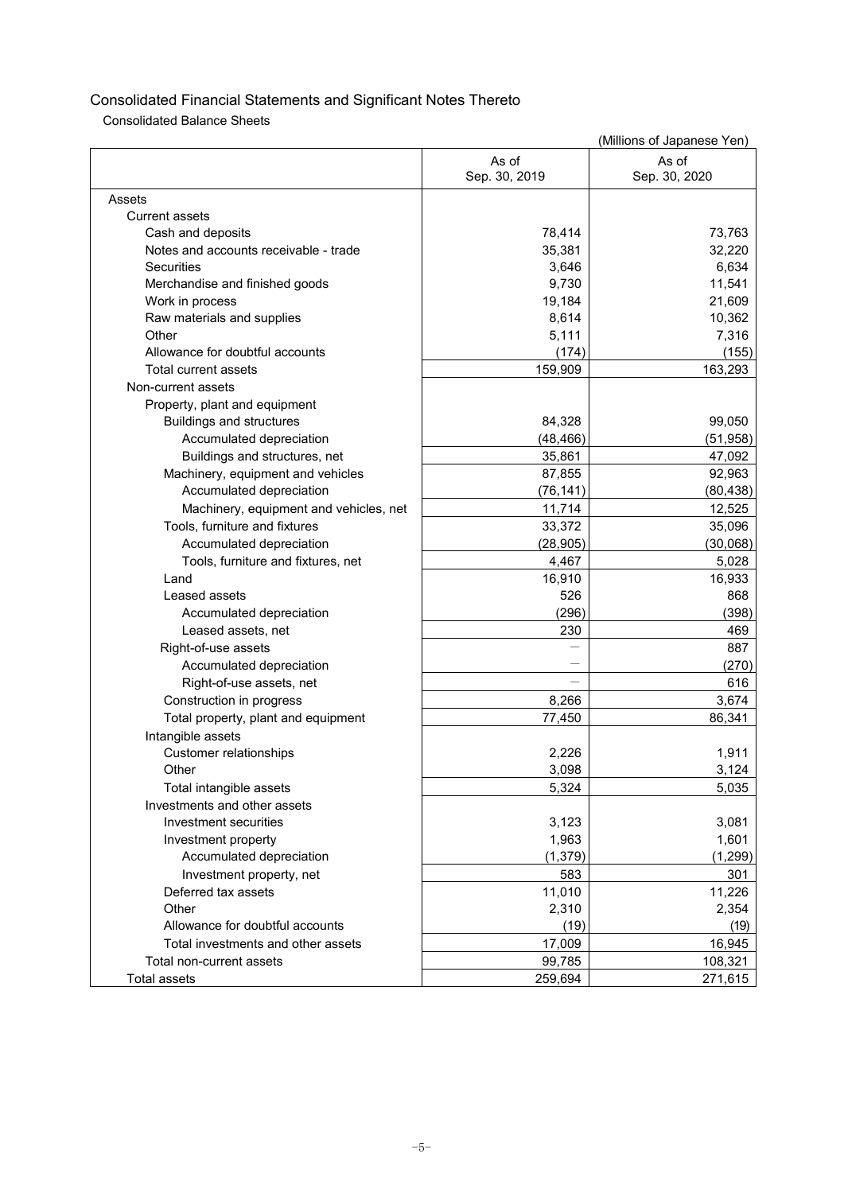Consolidated Balance Sheets

|                                        |                        | (Millions of Japanese Yen) |
|----------------------------------------|------------------------|----------------------------|
|                                        | As of<br>Sep. 30, 2019 | As of<br>Sep. 30, 2020     |
| Assets                                 |                        |                            |
| Current assets                         |                        |                            |
| Cash and deposits                      | 78,414                 | 73,763                     |
| Notes and accounts receivable - trade  | 35,381                 | 32,220                     |
| <b>Securities</b>                      | 3,646                  | 6,634                      |
| Merchandise and finished goods         | 9,730                  | 11,541                     |
| Work in process                        | 19,184                 | 21,609                     |
| Raw materials and supplies             | 8,614                  | 10,362                     |
| Other                                  | 5,111                  | 7,316                      |
| Allowance for doubtful accounts        | (174)                  | (155)                      |
| Total current assets                   | 159,909                | 163,293                    |
| Non-current assets                     |                        |                            |
| Property, plant and equipment          |                        |                            |
| <b>Buildings and structures</b>        | 84,328                 | 99,050                     |
| Accumulated depreciation               | (48, 466)              | (51, 958)                  |
| Buildings and structures, net          | 35,861                 | 47,092                     |
| Machinery, equipment and vehicles      | 87,855                 | 92,963                     |
| Accumulated depreciation               | (76, 141)              | (80, 438)                  |
| Machinery, equipment and vehicles, net | 11,714                 | 12,525                     |
| Tools, furniture and fixtures          | 33,372                 | 35,096                     |
| Accumulated depreciation               | (28, 905)              | (30,068)                   |
| Tools, furniture and fixtures, net     | 4,467                  | 5,028                      |
| Land                                   | 16,910                 | 16,933                     |
| Leased assets                          | 526                    | 868                        |
| Accumulated depreciation               | (296)                  | (398)                      |
| Leased assets, net                     | 230                    | 469                        |
| Right-of-use assets                    |                        | 887                        |
| Accumulated depreciation               |                        | (270)                      |
| Right-of-use assets, net               |                        | 616                        |
| Construction in progress               | 8,266                  | 3,674                      |
| Total property, plant and equipment    | 77,450                 | 86,341                     |
| Intangible assets                      |                        |                            |
| <b>Customer relationships</b>          | 2,226                  | 1,911                      |
| Other                                  | 3,098                  | 3,124                      |
| Total intangible assets                | 5,324                  | 5,035                      |
| Investments and other assets           |                        |                            |
| Investment securities                  | 3,123                  | 3,081                      |
| Investment property                    | 1,963                  | 1,601                      |
| Accumulated depreciation               | (1, 379)               | (1, 299)                   |
| Investment property, net               | 583                    | 301                        |
| Deferred tax assets                    | 11,010                 | 11,226                     |
| Other                                  | 2,310                  | 2,354                      |
| Allowance for doubtful accounts        | (19)                   | (19)                       |
| Total investments and other assets     | 17,009                 | 16,945                     |
| Total non-current assets               | 99,785                 | 108,321                    |
| Total assets                           | 259,694                | 271,615                    |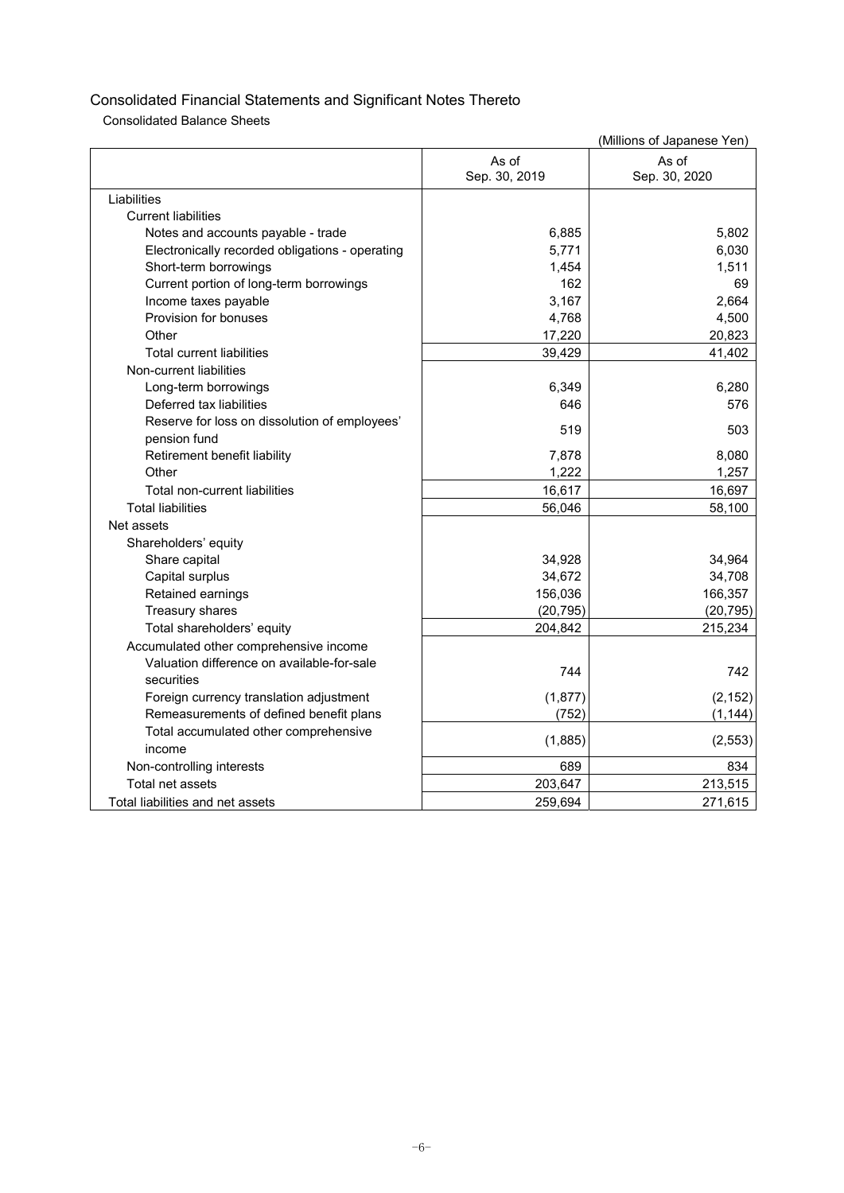Consolidated Balance Sheets

|                                                 |               | (Millions of Japanese Yen) |
|-------------------------------------------------|---------------|----------------------------|
|                                                 | As of         | As of                      |
|                                                 | Sep. 30, 2019 | Sep. 30, 2020              |
| Liabilities                                     |               |                            |
| <b>Current liabilities</b>                      |               |                            |
| Notes and accounts payable - trade              | 6,885         | 5,802                      |
| Electronically recorded obligations - operating | 5,771         | 6,030                      |
| Short-term borrowings                           | 1,454         | 1,511                      |
| Current portion of long-term borrowings         | 162           | 69                         |
| Income taxes payable                            | 3,167         | 2,664                      |
| Provision for bonuses                           | 4,768         | 4,500                      |
| Other                                           | 17,220        | 20,823                     |
| <b>Total current liabilities</b>                | 39,429        | 41,402                     |
| Non-current liabilities                         |               |                            |
| Long-term borrowings                            | 6,349         | 6.280                      |
| Deferred tax liabilities                        | 646           | 576                        |
| Reserve for loss on dissolution of employees'   | 519           | 503                        |
| pension fund                                    |               |                            |
| Retirement benefit liability                    | 7,878         | 8,080                      |
| Other                                           | 1,222         | 1,257                      |
| Total non-current liabilities                   | 16,617        | 16,697                     |
| <b>Total liabilities</b>                        | 56,046        | 58,100                     |
| Net assets                                      |               |                            |
| Shareholders' equity                            |               |                            |
| Share capital                                   | 34,928        | 34,964                     |
| Capital surplus                                 | 34,672        | 34,708                     |
| Retained earnings                               | 156,036       | 166,357                    |
| Treasury shares                                 | (20, 795)     | (20, 795)                  |
| Total shareholders' equity                      | 204,842       | 215,234                    |
| Accumulated other comprehensive income          |               |                            |
| Valuation difference on available-for-sale      | 744           | 742                        |
| securities                                      |               |                            |
| Foreign currency translation adjustment         | (1, 877)      | (2, 152)                   |
| Remeasurements of defined benefit plans         | (752)         | (1, 144)                   |
| Total accumulated other comprehensive           | (1,885)       | (2, 553)                   |
| income                                          |               |                            |
| Non-controlling interests                       | 689           | 834                        |
| Total net assets                                | 203,647       | 213,515                    |
| Total liabilities and net assets                | 259,694       | 271,615                    |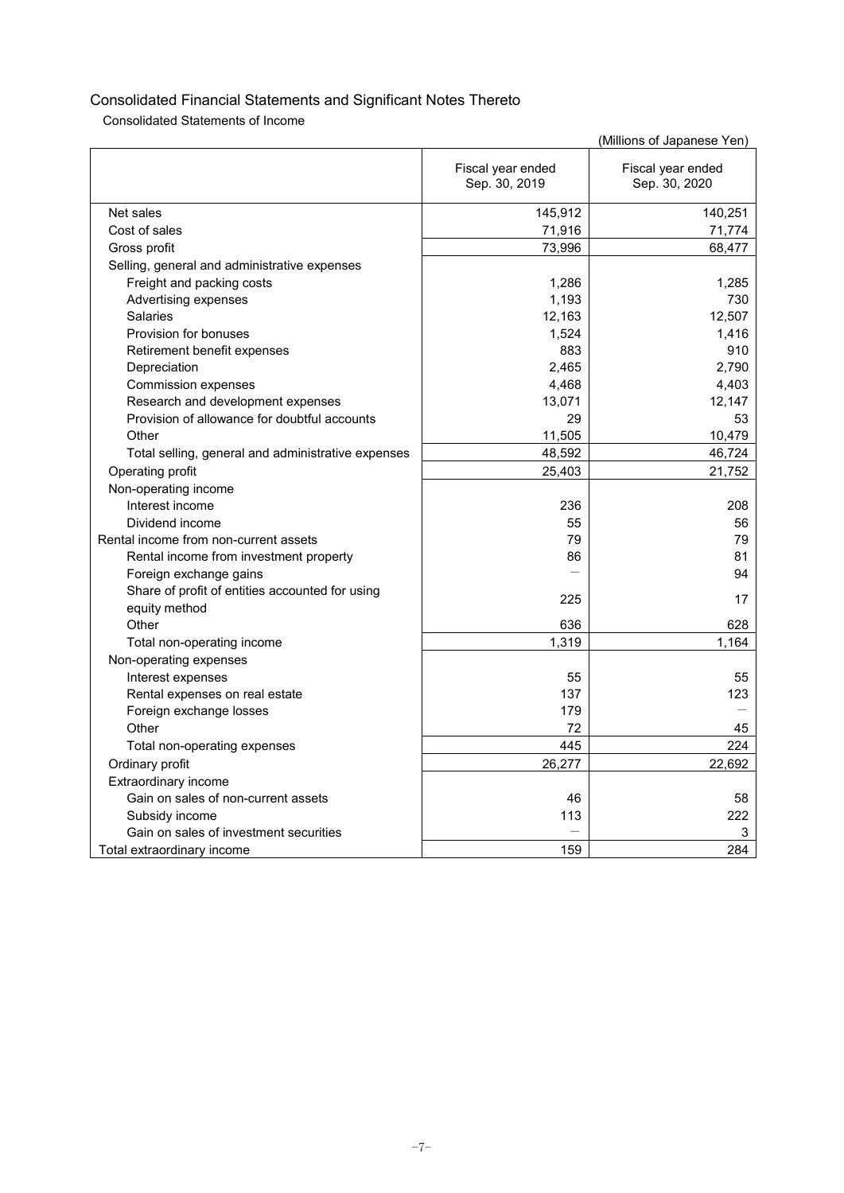Consolidated Statements of Income

|                                                    |                                    | (Millions of Japanese Yen)         |
|----------------------------------------------------|------------------------------------|------------------------------------|
|                                                    | Fiscal year ended<br>Sep. 30, 2019 | Fiscal year ended<br>Sep. 30, 2020 |
| Net sales                                          | 145,912                            | 140,251                            |
| Cost of sales                                      | 71,916                             | 71,774                             |
| Gross profit                                       | 73,996                             | 68,477                             |
| Selling, general and administrative expenses       |                                    |                                    |
| Freight and packing costs                          | 1,286                              | 1,285                              |
| Advertising expenses                               | 1,193                              | 730                                |
| Salaries                                           | 12,163                             | 12,507                             |
| Provision for bonuses                              | 1,524                              | 1,416                              |
| Retirement benefit expenses                        | 883                                | 910                                |
| Depreciation                                       | 2.465                              | 2,790                              |
| <b>Commission expenses</b>                         | 4,468                              | 4,403                              |
| Research and development expenses                  | 13,071                             | 12,147                             |
| Provision of allowance for doubtful accounts       | 29                                 | 53                                 |
| Other                                              | 11,505                             | 10,479                             |
| Total selling, general and administrative expenses | 48,592                             | 46,724                             |
| Operating profit                                   | 25,403                             | 21,752                             |
| Non-operating income                               |                                    |                                    |
| Interest income                                    | 236                                | 208                                |
| Dividend income                                    | 55                                 | 56                                 |
| Rental income from non-current assets              | 79                                 | 79                                 |
| Rental income from investment property             | 86                                 | 81                                 |
| Foreign exchange gains                             |                                    | 94                                 |
| Share of profit of entities accounted for using    | 225                                | 17                                 |
| equity method                                      |                                    |                                    |
| Other                                              | 636                                | 628                                |
| Total non-operating income                         | 1,319                              | 1.164                              |
| Non-operating expenses                             |                                    |                                    |
| Interest expenses                                  | 55                                 | 55                                 |
| Rental expenses on real estate                     | 137                                | 123                                |
| Foreign exchange losses                            | 179                                |                                    |
| Other                                              | 72                                 | 45                                 |
| Total non-operating expenses                       | 445                                | 224                                |
| Ordinary profit                                    | 26,277                             | 22,692                             |
| Extraordinary income                               |                                    |                                    |
| Gain on sales of non-current assets                | 46                                 | 58                                 |
| Subsidy income                                     | 113                                | 222                                |
| Gain on sales of investment securities             |                                    | 3                                  |
| Total extraordinary income                         | 159                                | 284                                |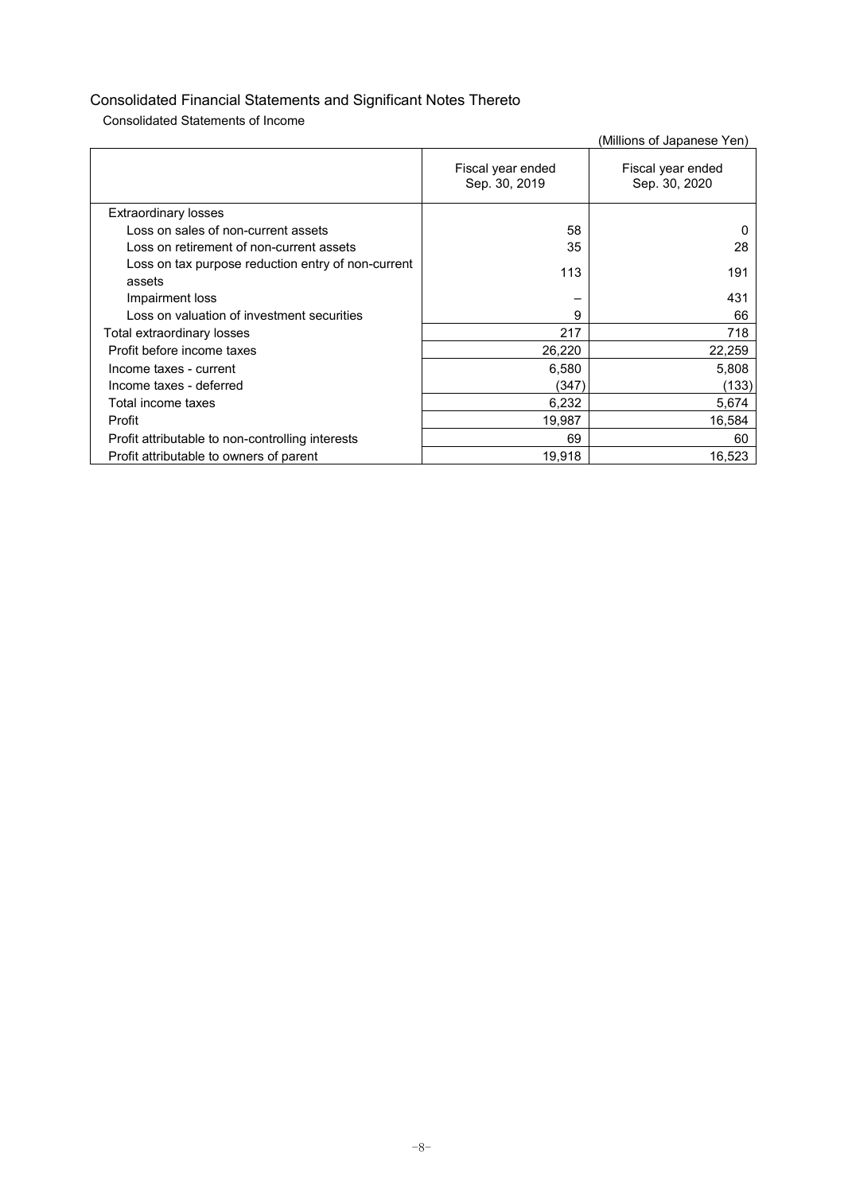Consolidated Statements of Income

|                                                              |                                    | (Millions of Japanese Yen)         |
|--------------------------------------------------------------|------------------------------------|------------------------------------|
|                                                              | Fiscal year ended<br>Sep. 30, 2019 | Fiscal year ended<br>Sep. 30, 2020 |
| <b>Extraordinary losses</b>                                  |                                    |                                    |
| Loss on sales of non-current assets                          | 58                                 | O                                  |
| Loss on retirement of non-current assets                     | 35                                 | 28                                 |
| Loss on tax purpose reduction entry of non-current<br>assets | 113                                | 191                                |
| Impairment loss                                              |                                    | 431                                |
| Loss on valuation of investment securities                   | 9                                  | 66                                 |
| Total extraordinary losses                                   | 217                                | 718                                |
| Profit before income taxes                                   | 26,220                             | 22,259                             |
| Income taxes - current                                       | 6,580                              | 5,808                              |
| Income taxes - deferred                                      | (347)                              | (133)                              |
| Total income taxes                                           | 6,232                              | 5,674                              |
| Profit                                                       | 19,987                             | 16,584                             |
| Profit attributable to non-controlling interests             | 69                                 | 60                                 |
| Profit attributable to owners of parent                      | 19,918                             | 16,523                             |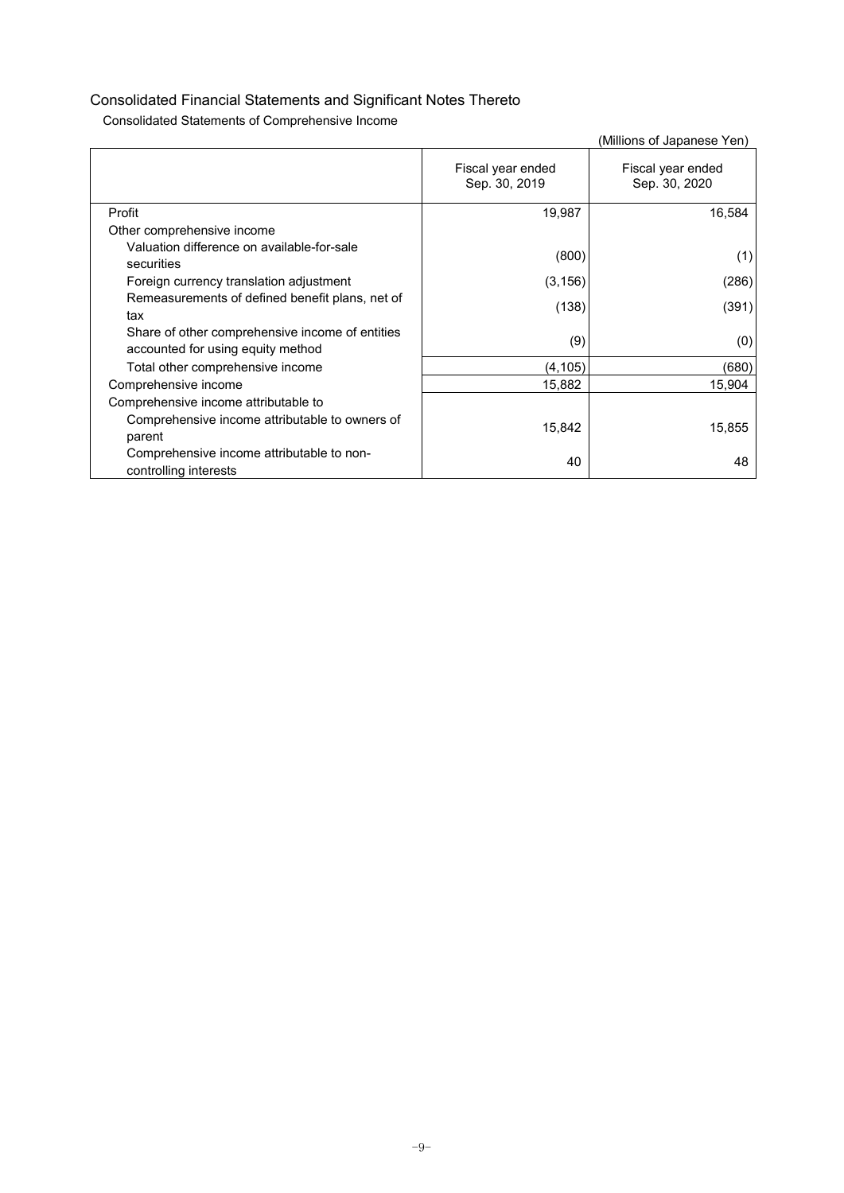Consolidated Statements of Comprehensive Income

|                                                                                      |                                    | (Millions of Japanese Yen)         |
|--------------------------------------------------------------------------------------|------------------------------------|------------------------------------|
|                                                                                      | Fiscal year ended<br>Sep. 30, 2019 | Fiscal year ended<br>Sep. 30, 2020 |
| Profit                                                                               | 19,987                             | 16,584                             |
| Other comprehensive income                                                           |                                    |                                    |
| Valuation difference on available-for-sale<br>securities                             | (800)                              | (1)                                |
| Foreign currency translation adjustment                                              | (3, 156)                           | (286)                              |
| Remeasurements of defined benefit plans, net of<br>tax                               | (138)                              | (391)                              |
| Share of other comprehensive income of entities<br>accounted for using equity method | (9)                                | (0)                                |
| Total other comprehensive income                                                     | (4, 105)                           | (680)                              |
| Comprehensive income                                                                 | 15,882                             | 15,904                             |
| Comprehensive income attributable to                                                 |                                    |                                    |
| Comprehensive income attributable to owners of<br>parent                             | 15,842                             | 15,855                             |
| Comprehensive income attributable to non-<br>controlling interests                   | 40                                 | 48                                 |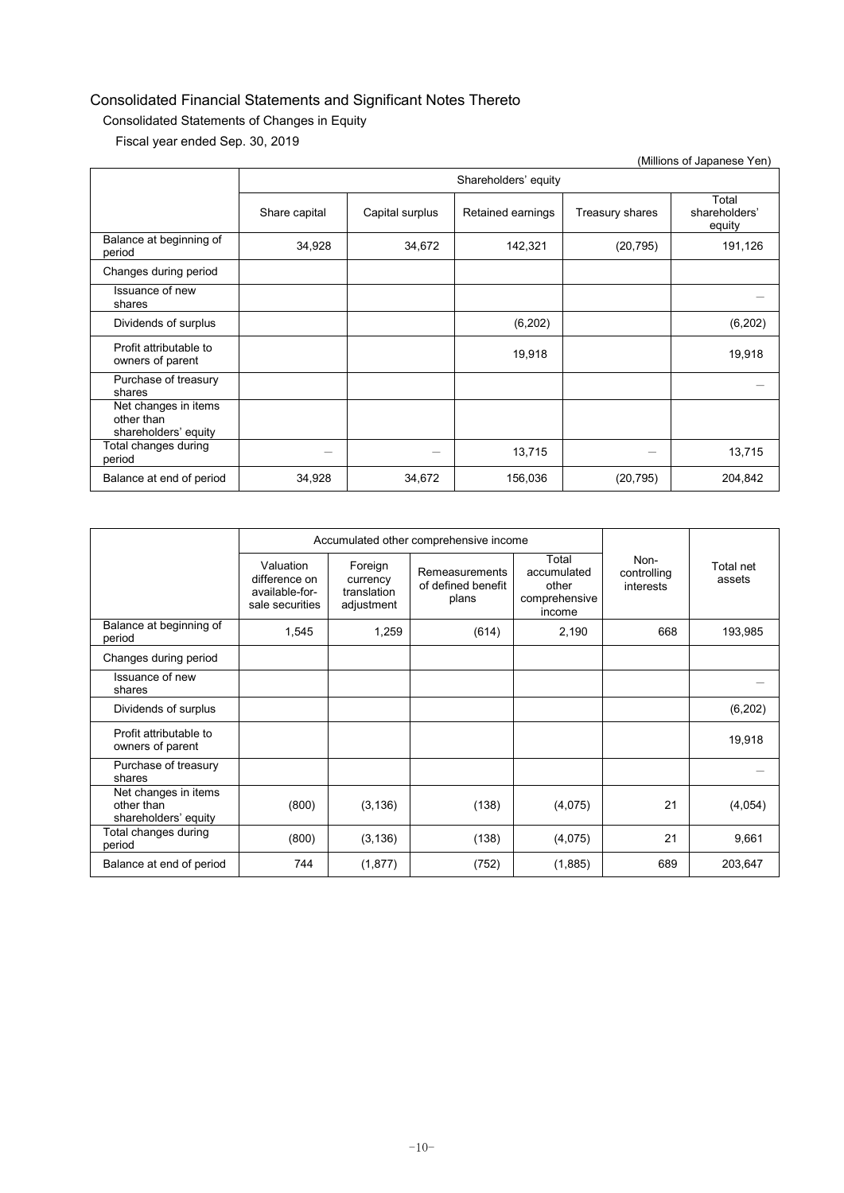### Consolidated Statements of Changes in Equity

Fiscal year ended Sep. 30, 2019

| (IVIIIIIONS OFJäpanese Ten)                                |               |                      |                   |                 |                                  |  |  |
|------------------------------------------------------------|---------------|----------------------|-------------------|-----------------|----------------------------------|--|--|
|                                                            |               | Shareholders' equity |                   |                 |                                  |  |  |
|                                                            | Share capital | Capital surplus      | Retained earnings | Treasury shares | Total<br>shareholders'<br>equity |  |  |
| Balance at beginning of<br>period                          | 34,928        | 34,672               | 142,321           | (20, 795)       | 191,126                          |  |  |
| Changes during period                                      |               |                      |                   |                 |                                  |  |  |
| Issuance of new<br>shares                                  |               |                      |                   |                 |                                  |  |  |
| Dividends of surplus                                       |               |                      | (6, 202)          |                 | (6,202)                          |  |  |
| Profit attributable to<br>owners of parent                 |               |                      | 19,918            |                 | 19,918                           |  |  |
| Purchase of treasury<br>shares                             |               |                      |                   |                 |                                  |  |  |
| Net changes in items<br>other than<br>shareholders' equity |               |                      |                   |                 |                                  |  |  |
| Total changes during<br>period                             |               |                      | 13,715            |                 | 13,715                           |  |  |
| Balance at end of period                                   | 34,928        | 34,672               | 156,036           | (20, 795)       | 204,842                          |  |  |

|                                                            |                                                                 | Accumulated other comprehensive income           |                                               |                                                          |                                  |                     |
|------------------------------------------------------------|-----------------------------------------------------------------|--------------------------------------------------|-----------------------------------------------|----------------------------------------------------------|----------------------------------|---------------------|
|                                                            | Valuation<br>difference on<br>available-for-<br>sale securities | Foreign<br>currency<br>translation<br>adjustment | Remeasurements<br>of defined benefit<br>plans | Total<br>accumulated<br>other<br>comprehensive<br>income | Non-<br>controlling<br>interests | Total net<br>assets |
| Balance at beginning of<br>period                          | 1,545                                                           | 1,259                                            | (614)                                         | 2,190                                                    | 668                              | 193,985             |
| Changes during period                                      |                                                                 |                                                  |                                               |                                                          |                                  |                     |
| Issuance of new<br>shares                                  |                                                                 |                                                  |                                               |                                                          |                                  |                     |
| Dividends of surplus                                       |                                                                 |                                                  |                                               |                                                          |                                  | (6, 202)            |
| Profit attributable to<br>owners of parent                 |                                                                 |                                                  |                                               |                                                          |                                  | 19,918              |
| Purchase of treasury<br>shares                             |                                                                 |                                                  |                                               |                                                          |                                  |                     |
| Net changes in items<br>other than<br>shareholders' equity | (800)                                                           | (3, 136)                                         | (138)                                         | (4,075)                                                  | 21                               | (4,054)             |
| Total changes during<br>period                             | (800)                                                           | (3, 136)                                         | (138)                                         | (4,075)                                                  | 21                               | 9,661               |
| Balance at end of period                                   | 744                                                             | (1, 877)                                         | (752)                                         | (1,885)                                                  | 689                              | 203,647             |

(Millions of Japanese Yen)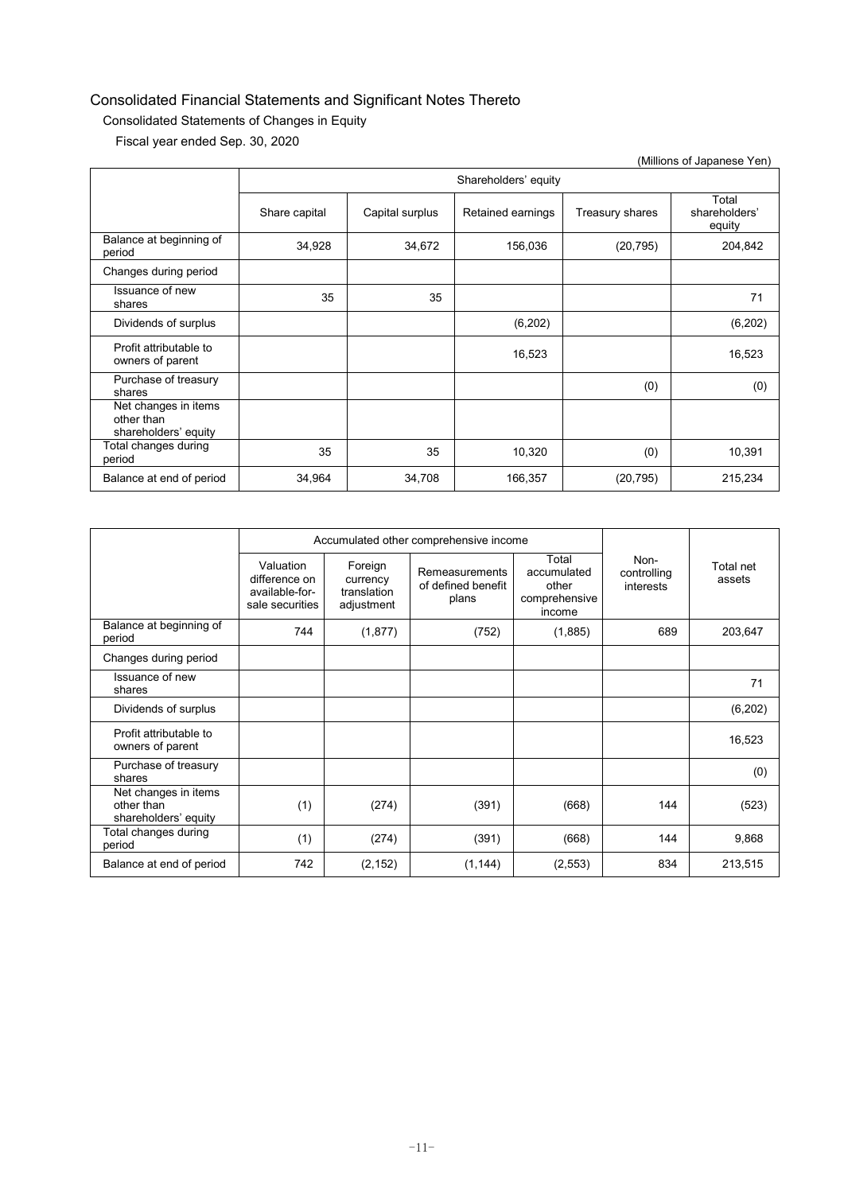### Consolidated Statements of Changes in Equity

Fiscal year ended Sep. 30, 2020

| (Millions of Japanese Yen)                                 |               |                      |                   |                 |                                  |  |  |
|------------------------------------------------------------|---------------|----------------------|-------------------|-----------------|----------------------------------|--|--|
|                                                            |               | Shareholders' equity |                   |                 |                                  |  |  |
|                                                            | Share capital | Capital surplus      | Retained earnings | Treasury shares | Total<br>shareholders'<br>equity |  |  |
| Balance at beginning of<br>period                          | 34,928        | 34,672               | 156,036           | (20, 795)       | 204,842                          |  |  |
| Changes during period                                      |               |                      |                   |                 |                                  |  |  |
| Issuance of new<br>shares                                  | 35            | 35                   |                   |                 | 71                               |  |  |
| Dividends of surplus                                       |               |                      | (6,202)           |                 | (6,202)                          |  |  |
| Profit attributable to<br>owners of parent                 |               |                      | 16,523            |                 | 16,523                           |  |  |
| Purchase of treasury<br>shares                             |               |                      |                   | (0)             | (0)                              |  |  |
| Net changes in items<br>other than<br>shareholders' equity |               |                      |                   |                 |                                  |  |  |
| Total changes during<br>period                             | 35            | 35                   | 10,320            | (0)             | 10,391                           |  |  |
| Balance at end of period                                   | 34,964        | 34,708               | 166,357           | (20, 795)       | 215,234                          |  |  |

|                                                            |                                                                 |                                                  | Accumulated other comprehensive income        |                                                          |                                  |                     |  |
|------------------------------------------------------------|-----------------------------------------------------------------|--------------------------------------------------|-----------------------------------------------|----------------------------------------------------------|----------------------------------|---------------------|--|
|                                                            | Valuation<br>difference on<br>available-for-<br>sale securities | Foreign<br>currency<br>translation<br>adjustment | Remeasurements<br>of defined benefit<br>plans | Total<br>accumulated<br>other<br>comprehensive<br>income | Non-<br>controlling<br>interests | Total net<br>assets |  |
| Balance at beginning of<br>period                          | 744                                                             | (1, 877)                                         | (752)                                         | (1, 885)                                                 | 689                              | 203,647             |  |
| Changes during period                                      |                                                                 |                                                  |                                               |                                                          |                                  |                     |  |
| Issuance of new<br>shares                                  |                                                                 |                                                  |                                               |                                                          |                                  | 71                  |  |
| Dividends of surplus                                       |                                                                 |                                                  |                                               |                                                          |                                  | (6, 202)            |  |
| Profit attributable to<br>owners of parent                 |                                                                 |                                                  |                                               |                                                          |                                  | 16,523              |  |
| Purchase of treasury<br>shares                             |                                                                 |                                                  |                                               |                                                          |                                  | (0)                 |  |
| Net changes in items<br>other than<br>shareholders' equity | (1)                                                             | (274)                                            | (391)                                         | (668)                                                    | 144                              | (523)               |  |
| Total changes during<br>period                             | (1)                                                             | (274)                                            | (391)                                         | (668)                                                    | 144                              | 9,868               |  |
| Balance at end of period                                   | 742                                                             | (2, 152)                                         | (1, 144)                                      | (2, 553)                                                 | 834                              | 213,515             |  |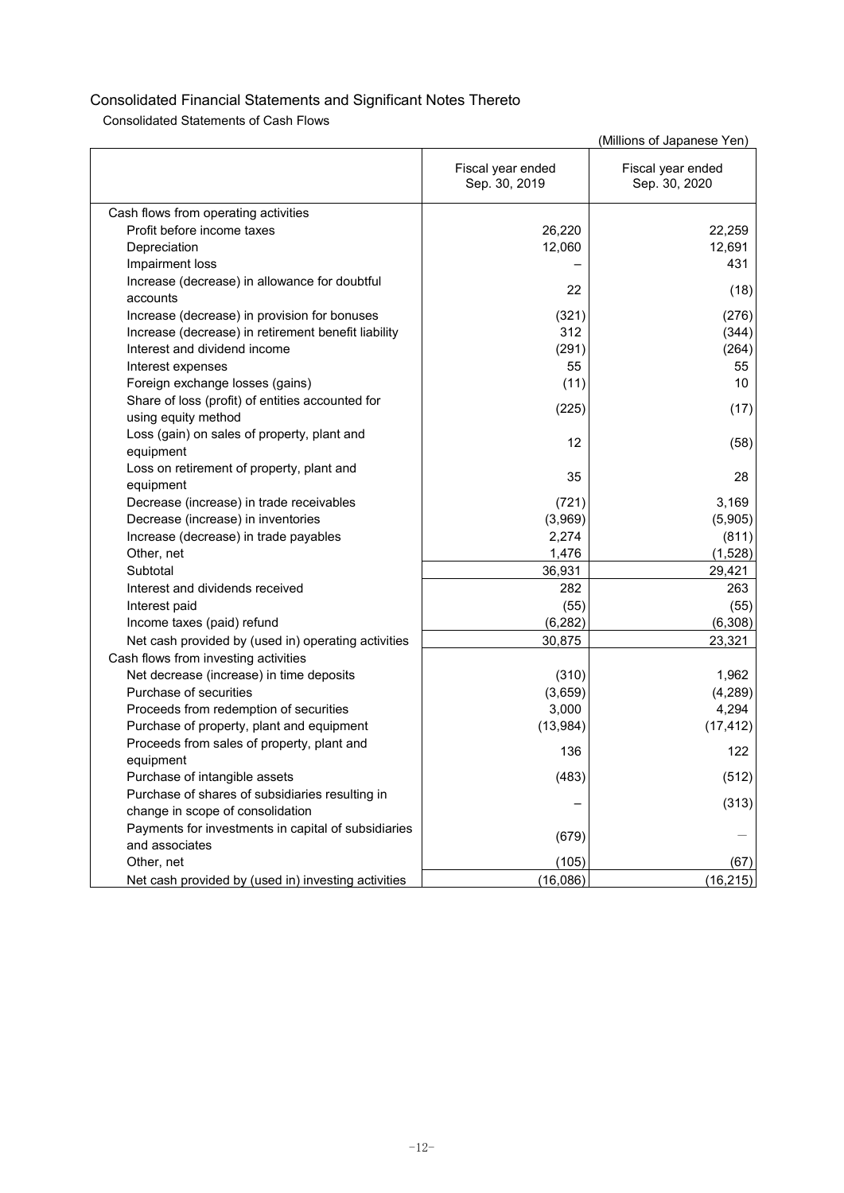Consolidated Statements of Cash Flows

|                                                     |                                    | (Millions of Japanese Yen)         |
|-----------------------------------------------------|------------------------------------|------------------------------------|
|                                                     | Fiscal year ended<br>Sep. 30, 2019 | Fiscal year ended<br>Sep. 30, 2020 |
| Cash flows from operating activities                |                                    |                                    |
| Profit before income taxes                          | 26,220                             | 22,259                             |
| Depreciation                                        | 12,060                             | 12,691                             |
| Impairment loss                                     |                                    | 431                                |
| Increase (decrease) in allowance for doubtful       |                                    |                                    |
| accounts                                            | 22                                 | (18)                               |
| Increase (decrease) in provision for bonuses        | (321)                              | (276)                              |
| Increase (decrease) in retirement benefit liability | 312                                | (344)                              |
| Interest and dividend income                        | (291)                              | (264)                              |
| Interest expenses                                   | 55                                 | 55                                 |
| Foreign exchange losses (gains)                     | (11)                               | 10                                 |
| Share of loss (profit) of entities accounted for    | (225)                              | (17)                               |
| using equity method                                 |                                    |                                    |
| Loss (gain) on sales of property, plant and         | 12                                 | (58)                               |
| equipment                                           |                                    |                                    |
| Loss on retirement of property, plant and           | 35                                 | 28                                 |
| equipment                                           |                                    |                                    |
| Decrease (increase) in trade receivables            | (721)                              | 3,169                              |
| Decrease (increase) in inventories                  | (3,969)                            | (5,905)                            |
| Increase (decrease) in trade payables               | 2,274                              | (811)                              |
| Other, net                                          | 1,476                              | (1,528)                            |
| Subtotal                                            | 36,931                             | 29,421                             |
| Interest and dividends received                     | 282                                | 263                                |
| Interest paid                                       | (55)                               | (55)                               |
| Income taxes (paid) refund                          | (6, 282)                           | (6, 308)                           |
| Net cash provided by (used in) operating activities | 30,875                             | 23,321                             |
| Cash flows from investing activities                |                                    |                                    |
| Net decrease (increase) in time deposits            | (310)                              | 1,962                              |
| Purchase of securities                              | (3,659)                            | (4, 289)                           |
| Proceeds from redemption of securities              | 3,000                              | 4,294                              |
| Purchase of property, plant and equipment           | (13,984)                           | (17, 412)                          |
| Proceeds from sales of property, plant and          | 136                                | 122                                |
| equipment                                           |                                    |                                    |
| Purchase of intangible assets                       | (483)                              | (512)                              |
| Purchase of shares of subsidiaries resulting in     |                                    | (313)                              |
| change in scope of consolidation                    |                                    |                                    |
| Payments for investments in capital of subsidiaries | (679)                              |                                    |
| and associates                                      |                                    |                                    |
| Other, net                                          | (105)                              | (67)                               |
| Net cash provided by (used in) investing activities | (16,086)                           | (16, 215)                          |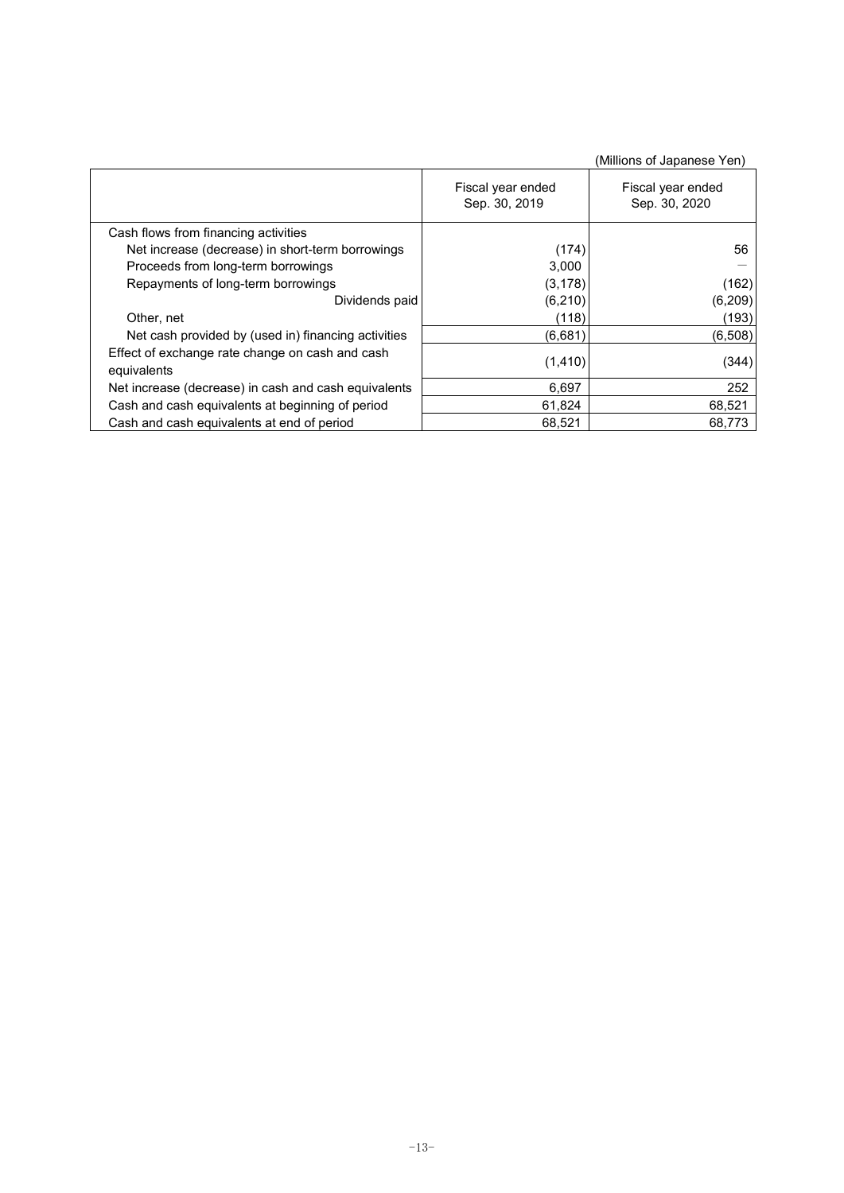|                                                                |                                    | (Millions of Japanese Yen)         |
|----------------------------------------------------------------|------------------------------------|------------------------------------|
|                                                                | Fiscal year ended<br>Sep. 30, 2019 | Fiscal year ended<br>Sep. 30, 2020 |
| Cash flows from financing activities                           |                                    |                                    |
| Net increase (decrease) in short-term borrowings               | (174)                              | 56                                 |
| Proceeds from long-term borrowings                             | 3,000                              |                                    |
| Repayments of long-term borrowings                             | (3, 178)                           | (162)                              |
| Dividends paid                                                 | (6,210)                            | (6, 209)                           |
| Other, net                                                     | (118)                              | (193)                              |
| Net cash provided by (used in) financing activities            | (6,681)                            | (6,508)                            |
| Effect of exchange rate change on cash and cash<br>equivalents | (1, 410)                           | (344)                              |
| Net increase (decrease) in cash and cash equivalents           | 6,697                              | 252                                |
| Cash and cash equivalents at beginning of period               | 61,824                             | 68,521                             |
| Cash and cash equivalents at end of period                     | 68,521                             | 68,773                             |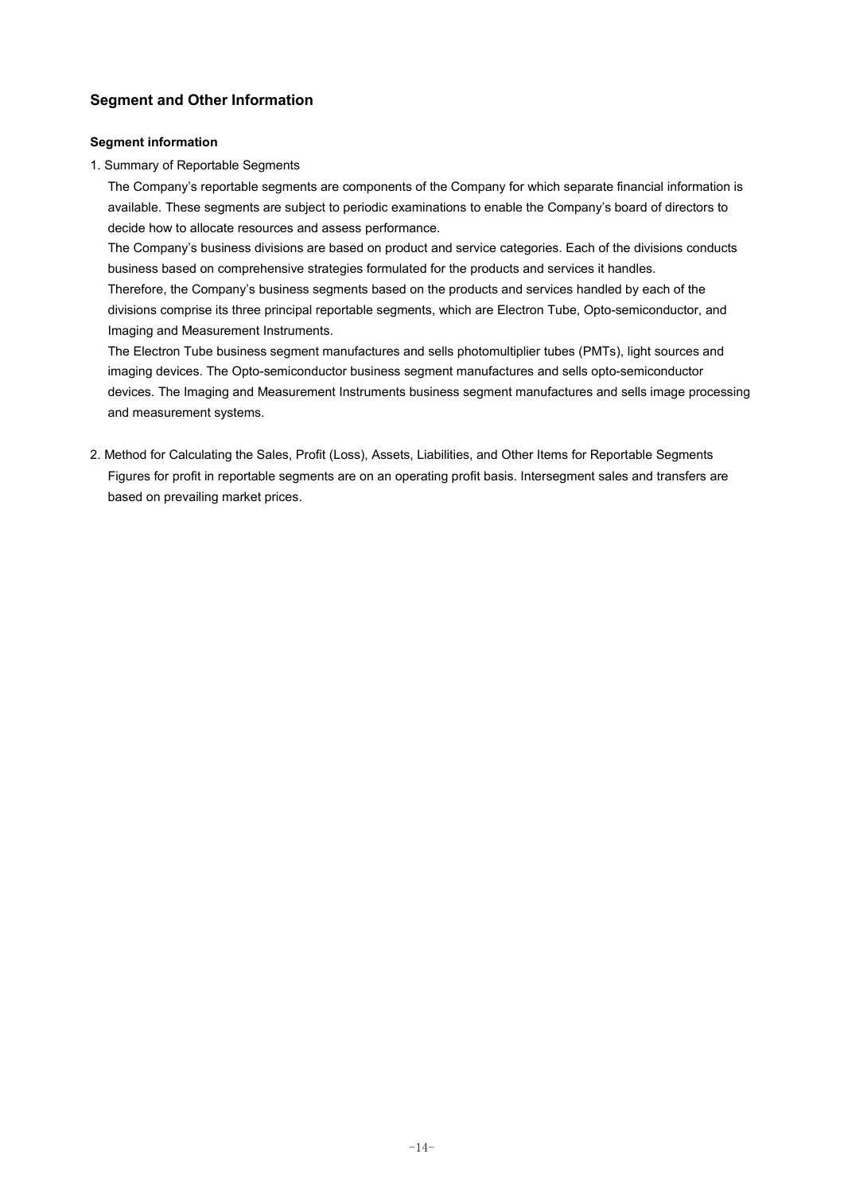### **Segment and Other Information**

#### **Segment information**

1. Summary of Reportable Segments

The Company's reportable segments are components of the Company for which separate financial information is available. These segments are subject to periodic examinations to enable the Company's board of directors to decide how to allocate resources and assess performance.

The Company's business divisions are based on product and service categories. Each of the divisions conducts business based on comprehensive strategies formulated for the products and services it handles.

Therefore, the Company's business segments based on the products and services handled by each of the divisions comprise its three principal reportable segments, which are Electron Tube, Opto-semiconductor, and Imaging and Measurement Instruments.

The Electron Tube business segment manufactures and sells photomultiplier tubes (PMTs), light sources and imaging devices. The Opto-semiconductor business segment manufactures and sells opto-semiconductor devices. The Imaging and Measurement Instruments business segment manufactures and sells image processing and measurement systems.

2. Method for Calculating the Sales, Profit (Loss), Assets, Liabilities, and Other Items for Reportable Segments Figures for profit in reportable segments are on an operating profit basis. Intersegment sales and transfers are based on prevailing market prices.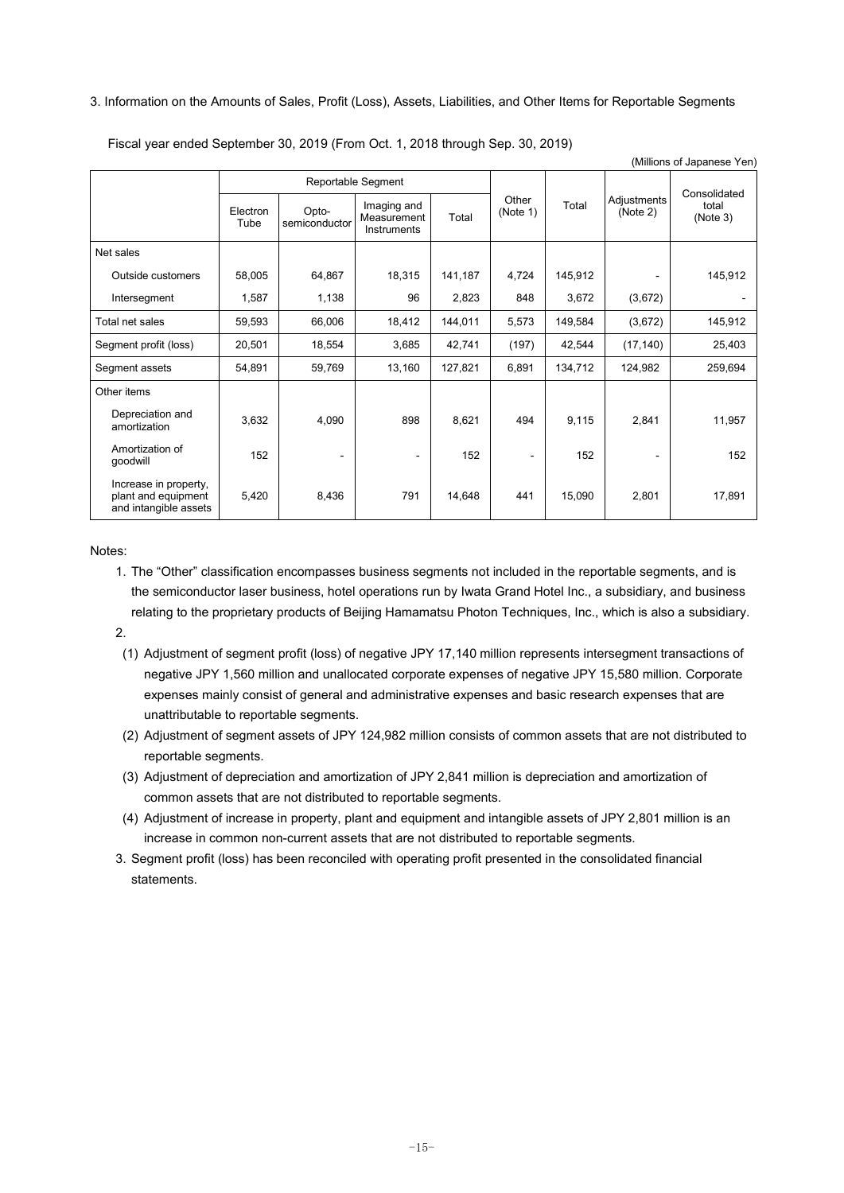#### 3. Information on the Amounts of Sales, Profit (Loss), Assets, Liabilities, and Other Items for Reportable Segments

Fiscal year ended September 30, 2019 (From Oct. 1, 2018 through Sep. 30, 2019)

|                                                                       |                  |                        |                                           |         |                   |         |                         | (Millions of Japanese Yen) |
|-----------------------------------------------------------------------|------------------|------------------------|-------------------------------------------|---------|-------------------|---------|-------------------------|----------------------------|
|                                                                       |                  | Reportable Segment     |                                           |         |                   |         |                         | Consolidated               |
|                                                                       | Electron<br>Tube | Opto-<br>semiconductor | Imaging and<br>Measurement<br>Instruments | Total   | Other<br>(Note 1) | Total   | Adjustments<br>(Note 2) | total<br>(Note 3)          |
| Net sales                                                             |                  |                        |                                           |         |                   |         |                         |                            |
| Outside customers                                                     | 58,005           | 64,867                 | 18,315                                    | 141,187 | 4,724             | 145,912 |                         | 145,912                    |
| Intersegment                                                          | 1,587            | 1,138                  | 96                                        | 2,823   | 848               | 3,672   | (3,672)                 |                            |
| Total net sales                                                       | 59,593           | 66,006                 | 18,412                                    | 144,011 | 5,573             | 149,584 | (3,672)                 | 145,912                    |
| Segment profit (loss)                                                 | 20,501           | 18,554                 | 3,685                                     | 42,741  | (197)             | 42,544  | (17, 140)               | 25,403                     |
| Segment assets                                                        | 54,891           | 59,769                 | 13,160                                    | 127,821 | 6,891             | 134,712 | 124,982                 | 259,694                    |
| Other items                                                           |                  |                        |                                           |         |                   |         |                         |                            |
| Depreciation and<br>amortization                                      | 3,632            | 4,090                  | 898                                       | 8,621   | 494               | 9,115   | 2,841                   | 11,957                     |
| Amortization of<br>qoodwill                                           | 152              | $\blacksquare$         |                                           | 152     |                   | 152     |                         | 152                        |
| Increase in property,<br>plant and equipment<br>and intangible assets | 5,420            | 8,436                  | 791                                       | 14,648  | 441               | 15,090  | 2,801                   | 17,891                     |

Notes:

- 1. The "Other" classification encompasses business segments not included in the reportable segments, and is the semiconductor laser business, hotel operations run by Iwata Grand Hotel Inc., a subsidiary, and business relating to the proprietary products of Beijing Hamamatsu Photon Techniques, Inc., which is also a subsidiary.
- 2.
	- (1) Adjustment of segment profit (loss) of negative JPY 17,140 million represents intersegment transactions of negative JPY 1,560 million and unallocated corporate expenses of negative JPY 15,580 million. Corporate expenses mainly consist of general and administrative expenses and basic research expenses that are unattributable to reportable segments.
	- (2) Adjustment of segment assets of JPY 124,982 million consists of common assets that are not distributed to reportable segments.
	- (3) Adjustment of depreciation and amortization of JPY 2,841 million is depreciation and amortization of common assets that are not distributed to reportable segments.
	- (4) Adjustment of increase in property, plant and equipment and intangible assets of JPY 2,801 million is an increase in common non-current assets that are not distributed to reportable segments.
- 3. Segment profit (loss) has been reconciled with operating profit presented in the consolidated financial statements.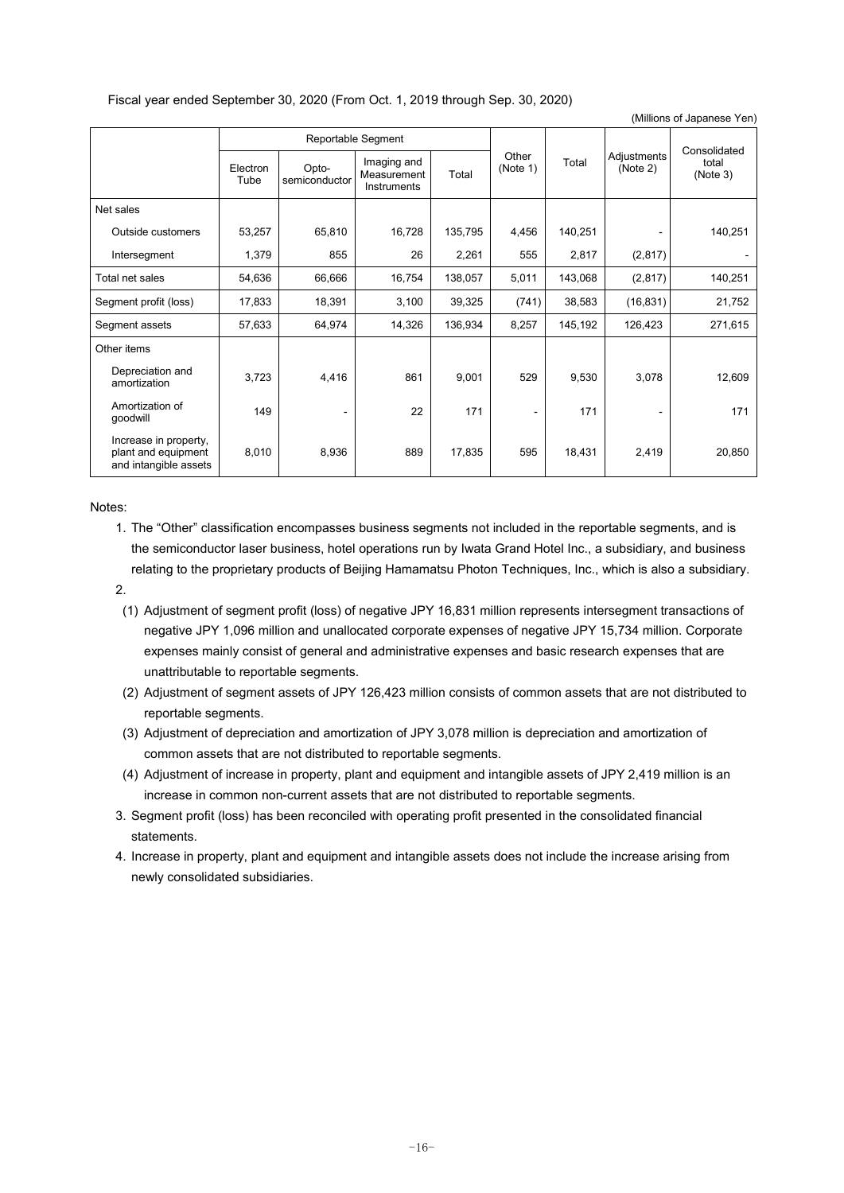#### Fiscal year ended September 30, 2020 (From Oct. 1, 2019 through Sep. 30, 2020)

|                                                                       |                  |                        |                                           |         |                   |         |                         | (Millions of Japanese Yen)        |
|-----------------------------------------------------------------------|------------------|------------------------|-------------------------------------------|---------|-------------------|---------|-------------------------|-----------------------------------|
|                                                                       |                  |                        | Reportable Segment                        |         |                   |         |                         |                                   |
|                                                                       | Electron<br>Tube | Opto-<br>semiconductor | Imaging and<br>Measurement<br>Instruments | Total   | Other<br>(Note 1) | Total   | Adjustments<br>(Note 2) | Consolidated<br>total<br>(Note 3) |
| Net sales                                                             |                  |                        |                                           |         |                   |         |                         |                                   |
| Outside customers                                                     | 53,257           | 65,810                 | 16,728                                    | 135,795 | 4,456             | 140,251 |                         | 140,251                           |
| Intersegment                                                          | 1,379            | 855                    | 26                                        | 2,261   | 555               | 2,817   | (2, 817)                |                                   |
| Total net sales                                                       | 54,636           | 66,666                 | 16,754                                    | 138,057 | 5,011             | 143,068 | (2, 817)                | 140,251                           |
| Segment profit (loss)                                                 | 17,833           | 18,391                 | 3,100                                     | 39,325  | (741)             | 38,583  | (16, 831)               | 21,752                            |
| Segment assets                                                        | 57,633           | 64,974                 | 14,326                                    | 136,934 | 8,257             | 145,192 | 126,423                 | 271,615                           |
| Other items                                                           |                  |                        |                                           |         |                   |         |                         |                                   |
| Depreciation and<br>amortization                                      | 3,723            | 4,416                  | 861                                       | 9,001   | 529               | 9,530   | 3,078                   | 12,609                            |
| Amortization of<br>qoodwill                                           | 149              | -                      | 22                                        | 171     |                   | 171     |                         | 171                               |
| Increase in property,<br>plant and equipment<br>and intangible assets | 8,010            | 8,936                  | 889                                       | 17,835  | 595               | 18,431  | 2,419                   | 20,850                            |

Notes:

- 1. The "Other" classification encompasses business segments not included in the reportable segments, and is the semiconductor laser business, hotel operations run by Iwata Grand Hotel Inc., a subsidiary, and business relating to the proprietary products of Beijing Hamamatsu Photon Techniques, Inc., which is also a subsidiary.
- 2.
	- (1) Adjustment of segment profit (loss) of negative JPY 16,831 million represents intersegment transactions of negative JPY 1,096 million and unallocated corporate expenses of negative JPY 15,734 million. Corporate expenses mainly consist of general and administrative expenses and basic research expenses that are unattributable to reportable segments.
	- (2) Adjustment of segment assets of JPY 126,423 million consists of common assets that are not distributed to reportable segments.
	- (3) Adjustment of depreciation and amortization of JPY 3,078 million is depreciation and amortization of common assets that are not distributed to reportable segments.
	- (4) Adjustment of increase in property, plant and equipment and intangible assets of JPY 2,419 million is an increase in common non-current assets that are not distributed to reportable segments.
- 3. Segment profit (loss) has been reconciled with operating profit presented in the consolidated financial statements.
- 4. Increase in property, plant and equipment and intangible assets does not include the increase arising from newly consolidated subsidiaries.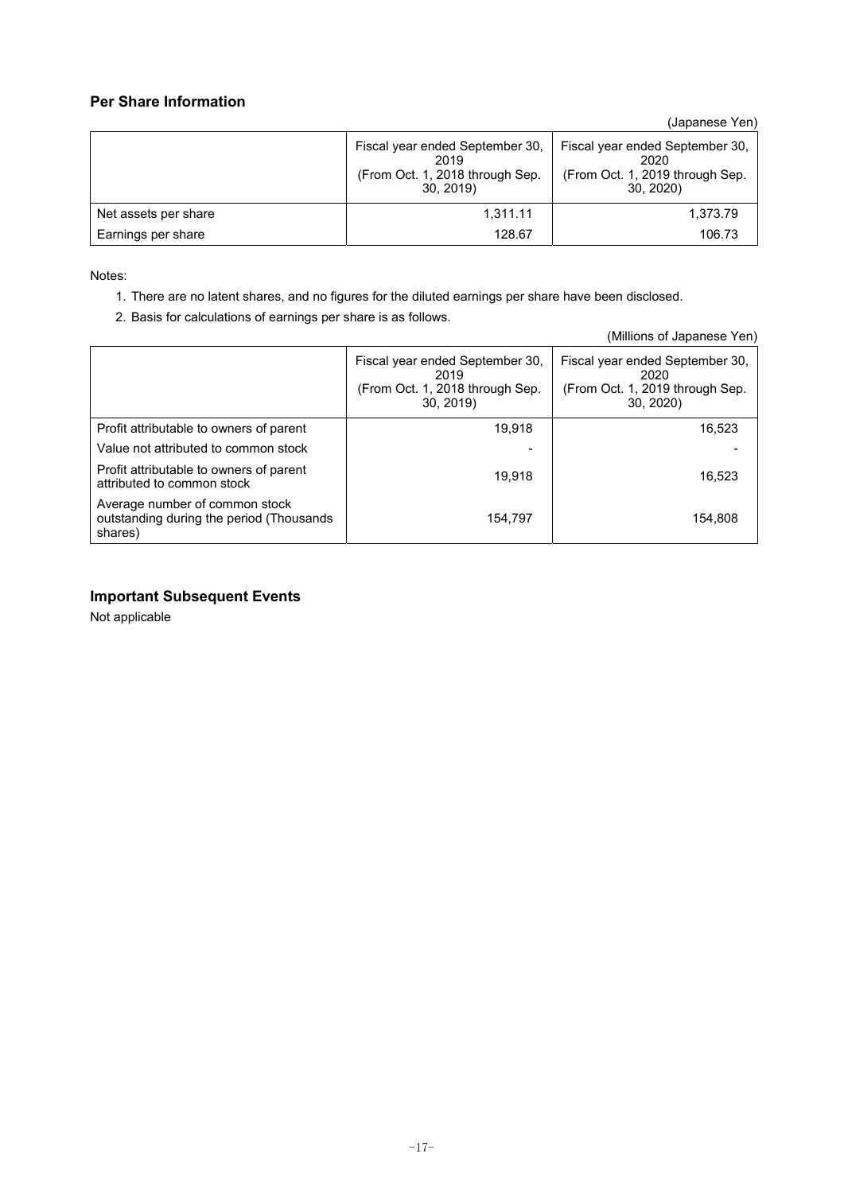### **Per Share Information**

(Japanese Yen)

|                      | Fiscal year ended September 30,<br>2019<br>(From Oct. 1, 2018 through Sep.<br>30, 2019 | Fiscal year ended September 30,<br>2020<br>(From Oct. 1, 2019 through Sep.<br>30, 2020 |
|----------------------|----------------------------------------------------------------------------------------|----------------------------------------------------------------------------------------|
| Net assets per share | 1,311.11                                                                               | 1,373.79                                                                               |
| Earnings per share   | 128.67                                                                                 | 106.73                                                                                 |

Notes:

- 1. There are no latent shares, and no figures for the diluted earnings per share have been disclosed.
- 2. Basis for calculations of earnings per share is as follows.

|                                                                                       |                                                                                        | (Millions of Japanese Yen)                                                             |
|---------------------------------------------------------------------------------------|----------------------------------------------------------------------------------------|----------------------------------------------------------------------------------------|
|                                                                                       | Fiscal year ended September 30,<br>2019<br>(From Oct. 1, 2018 through Sep.<br>30, 2019 | Fiscal year ended September 30,<br>2020<br>(From Oct. 1, 2019 through Sep.<br>30, 2020 |
| Profit attributable to owners of parent                                               | 19.918                                                                                 | 16,523                                                                                 |
| Value not attributed to common stock                                                  |                                                                                        |                                                                                        |
| Profit attributable to owners of parent<br>attributed to common stock                 | 19.918                                                                                 | 16.523                                                                                 |
| Average number of common stock<br>outstanding during the period (Thousands<br>shares) | 154.797                                                                                | 154.808                                                                                |

### **Important Subsequent Events**

Not applicable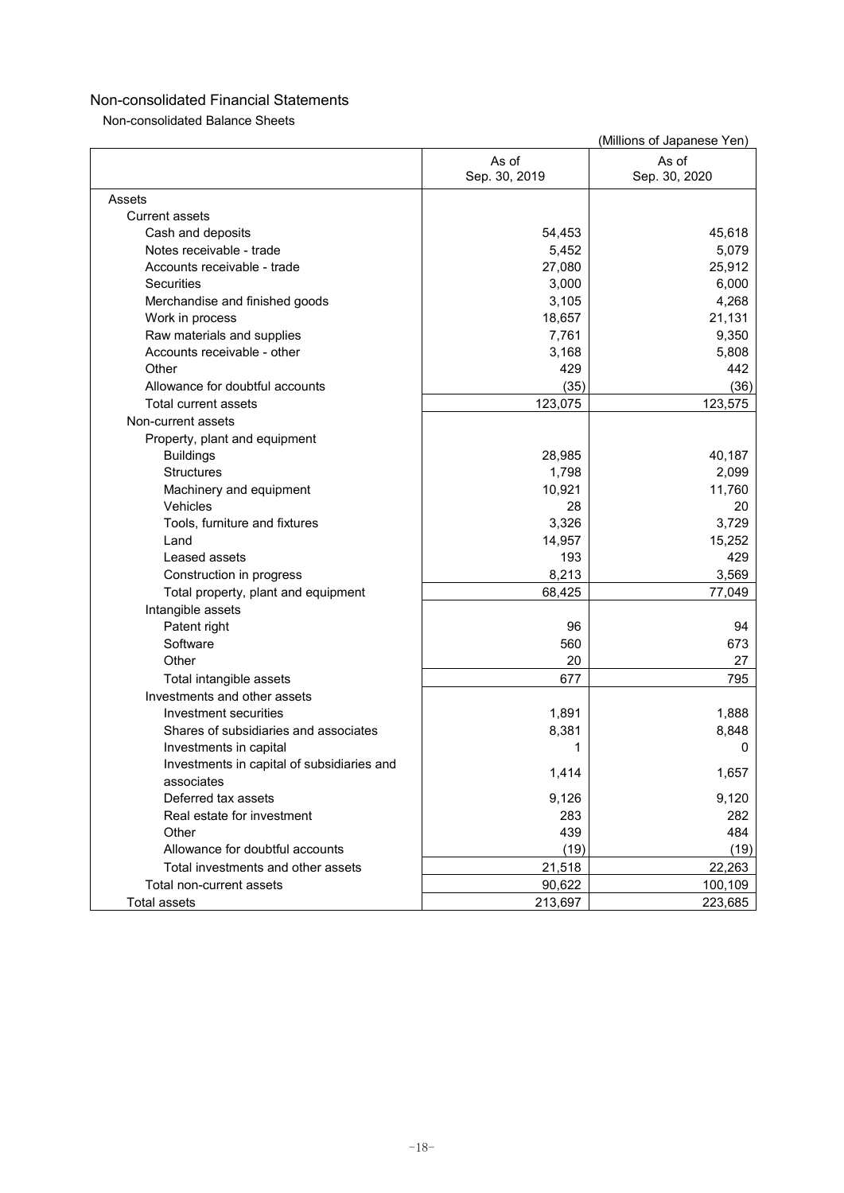Non-consolidated Balance Sheets

|                                            |                        | (Millions of Japanese Yen) |
|--------------------------------------------|------------------------|----------------------------|
|                                            | As of<br>Sep. 30, 2019 | As of<br>Sep. 30, 2020     |
| Assets                                     |                        |                            |
| <b>Current assets</b>                      |                        |                            |
| Cash and deposits                          | 54,453                 | 45,618                     |
| Notes receivable - trade                   | 5,452                  | 5,079                      |
| Accounts receivable - trade                | 27,080                 | 25,912                     |
| <b>Securities</b>                          | 3,000                  | 6,000                      |
| Merchandise and finished goods             | 3,105                  | 4,268                      |
| Work in process                            | 18,657                 | 21,131                     |
| Raw materials and supplies                 | 7,761                  | 9,350                      |
| Accounts receivable - other                | 3,168                  | 5,808                      |
| Other                                      | 429                    | 442                        |
| Allowance for doubtful accounts            | (35)                   | (36)                       |
| Total current assets                       | 123,075                | 123,575                    |
| Non-current assets                         |                        |                            |
| Property, plant and equipment              |                        |                            |
| <b>Buildings</b>                           | 28,985                 | 40,187                     |
| <b>Structures</b>                          | 1,798                  | 2,099                      |
| Machinery and equipment                    | 10,921                 | 11,760                     |
| Vehicles                                   | 28                     | 20                         |
| Tools, furniture and fixtures              | 3,326                  | 3,729                      |
| Land                                       | 14,957                 | 15,252                     |
| Leased assets                              | 193                    | 429                        |
| Construction in progress                   | 8,213                  | 3,569                      |
| Total property, plant and equipment        | 68,425                 | 77,049                     |
| Intangible assets                          |                        |                            |
| Patent right                               | 96                     | 94                         |
| Software                                   | 560                    | 673                        |
| Other                                      | 20                     | 27                         |
| Total intangible assets                    | 677                    | 795                        |
| Investments and other assets               |                        |                            |
| Investment securities                      | 1,891                  | 1,888                      |
| Shares of subsidiaries and associates      | 8,381                  | 8,848                      |
| Investments in capital                     | 1                      | 0                          |
| Investments in capital of subsidiaries and |                        |                            |
| associates                                 | 1,414                  | 1,657                      |
| Deferred tax assets                        | 9,126                  | 9,120                      |
| Real estate for investment                 | 283                    | 282                        |
| Other                                      | 439                    | 484                        |
| Allowance for doubtful accounts            | (19)                   | (19)                       |
| Total investments and other assets         | 21,518                 | 22,263                     |
| Total non-current assets                   | 90,622                 | 100,109                    |
| Total assets                               | 213,697                | 223,685                    |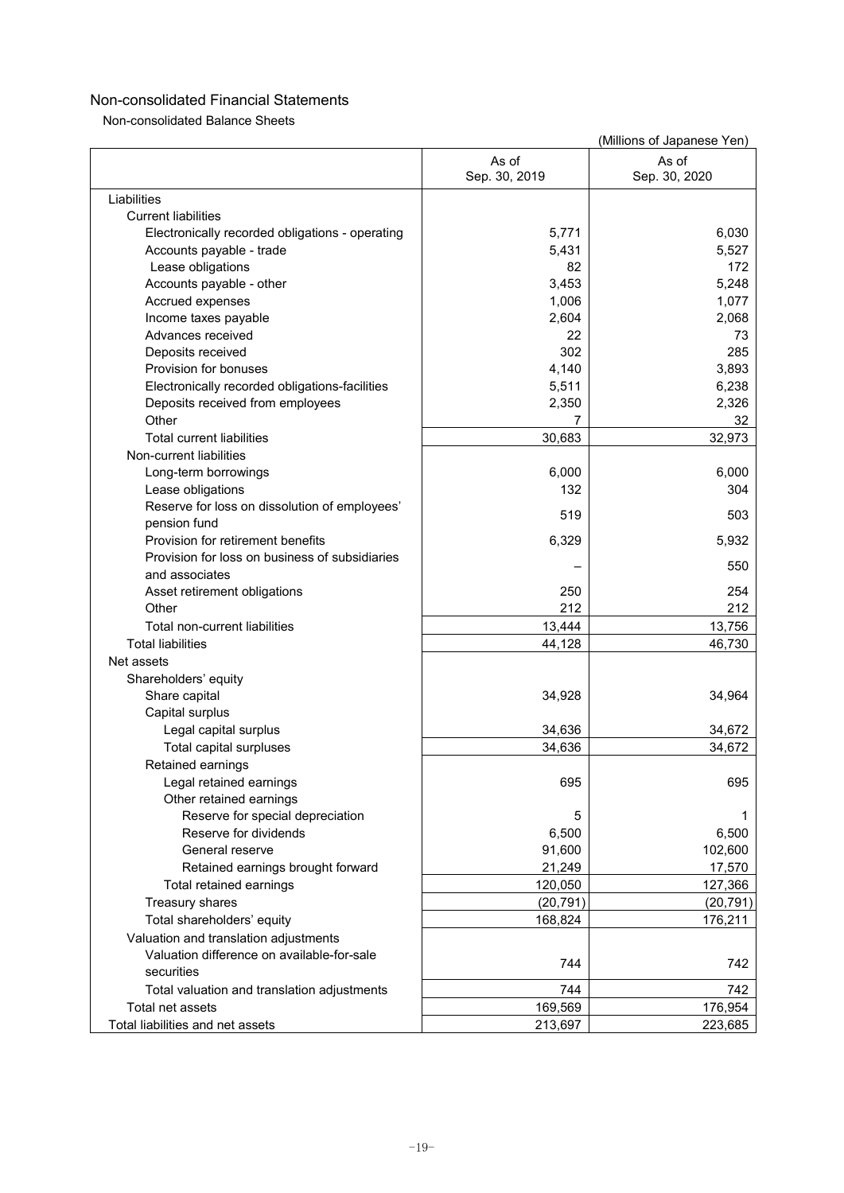Non-consolidated Balance Sheets

(Millions of Japanese Yen)

|                                                 |                        | <b><i>IVIIIIIOIIS</i></b> OI <u>0aparics</u> <b>1</b> CIT |
|-------------------------------------------------|------------------------|-----------------------------------------------------------|
|                                                 | As of<br>Sep. 30, 2019 | As of<br>Sep. 30, 2020                                    |
| Liabilities                                     |                        |                                                           |
| <b>Current liabilities</b>                      |                        |                                                           |
| Electronically recorded obligations - operating | 5,771                  | 6,030                                                     |
| Accounts payable - trade                        | 5,431                  | 5,527                                                     |
| Lease obligations                               | 82                     | 172                                                       |
| Accounts payable - other                        | 3,453                  | 5,248                                                     |
| Accrued expenses                                | 1,006                  | 1,077                                                     |
| Income taxes payable                            | 2,604                  | 2,068                                                     |
| Advances received                               | 22                     | 73                                                        |
| Deposits received                               | 302                    | 285                                                       |
| Provision for bonuses                           | 4,140                  | 3,893                                                     |
| Electronically recorded obligations-facilities  | 5,511                  | 6,238                                                     |
| Deposits received from employees                | 2,350                  | 2,326                                                     |
| Other                                           |                        | 32                                                        |
| <b>Total current liabilities</b>                | 30,683                 | 32,973                                                    |
| Non-current liabilities                         |                        |                                                           |
|                                                 |                        |                                                           |
| Long-term borrowings                            | 6,000                  | 6,000                                                     |
| Lease obligations                               | 132                    | 304                                                       |
| Reserve for loss on dissolution of employees'   | 519                    | 503                                                       |
| pension fund                                    |                        |                                                           |
| Provision for retirement benefits               | 6,329                  | 5,932                                                     |
| Provision for loss on business of subsidiaries  |                        | 550                                                       |
| and associates                                  |                        |                                                           |
| Asset retirement obligations                    | 250                    | 254                                                       |
| Other                                           | 212                    | 212                                                       |
| Total non-current liabilities                   | 13,444                 | 13,756                                                    |
| <b>Total liabilities</b>                        | 44,128                 | 46,730                                                    |
| Net assets                                      |                        |                                                           |
| Shareholders' equity                            |                        |                                                           |
| Share capital                                   | 34,928                 | 34,964                                                    |
| Capital surplus                                 |                        |                                                           |
| Legal capital surplus                           | 34,636                 | 34,672                                                    |
| Total capital surpluses                         | 34,636                 | 34,672                                                    |
| Retained earnings                               |                        |                                                           |
| Legal retained earnings                         | 695                    | 695                                                       |
| Other retained earnings                         |                        |                                                           |
| Reserve for special depreciation                | 5                      | 1                                                         |
| Reserve for dividends                           | 6,500                  | 6,500                                                     |
| General reserve                                 | 91,600                 | 102,600                                                   |
| Retained earnings brought forward               | 21,249                 | 17,570                                                    |
| Total retained earnings                         | 120,050                | 127,366                                                   |
| Treasury shares                                 | (20, 791)              | (20, 791)                                                 |
| Total shareholders' equity                      | 168,824                | 176,211                                                   |
| Valuation and translation adjustments           |                        |                                                           |
| Valuation difference on available-for-sale      |                        |                                                           |
| securities                                      | 744                    | 742                                                       |
| Total valuation and translation adjustments     | 744                    | 742                                                       |
| Total net assets                                | 169,569                | 176,954                                                   |
| Total liabilities and net assets                | 213,697                | 223,685                                                   |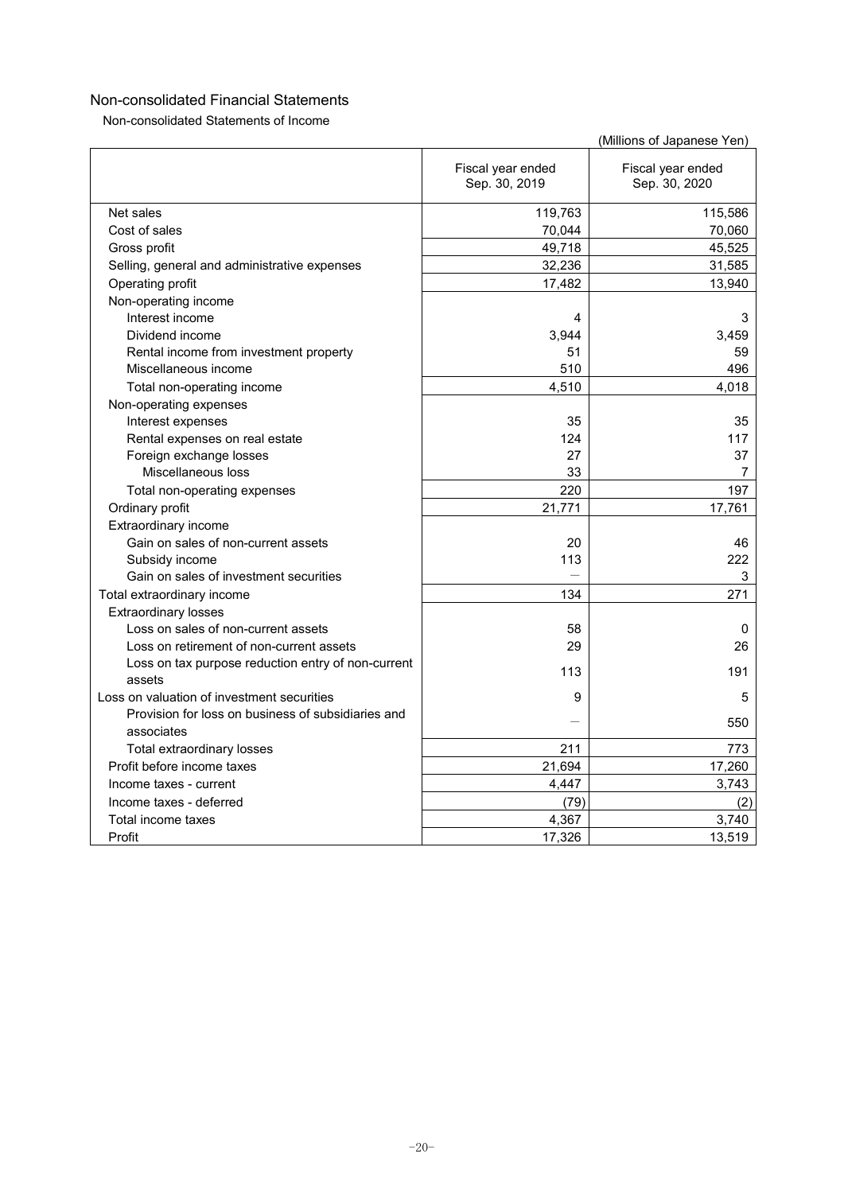Non-consolidated Statements of Income

|                                                              |                                    | (Millions of Japanese Yen)         |
|--------------------------------------------------------------|------------------------------------|------------------------------------|
|                                                              | Fiscal year ended<br>Sep. 30, 2019 | Fiscal year ended<br>Sep. 30, 2020 |
| Net sales                                                    | 119,763                            | 115,586                            |
| Cost of sales                                                | 70,044                             | 70,060                             |
| Gross profit                                                 | 49,718                             | 45,525                             |
| Selling, general and administrative expenses                 | 32,236                             | 31,585                             |
| Operating profit                                             | 17,482                             | 13,940                             |
| Non-operating income                                         |                                    |                                    |
| Interest income                                              | 4                                  | 3                                  |
| Dividend income                                              | 3,944                              | 3.459                              |
| Rental income from investment property                       | 51                                 | 59                                 |
| Miscellaneous income                                         | 510                                | 496                                |
| Total non-operating income                                   | 4,510                              | 4,018                              |
| Non-operating expenses                                       |                                    |                                    |
| Interest expenses                                            | 35                                 | 35                                 |
| Rental expenses on real estate                               | 124                                | 117                                |
| Foreign exchange losses                                      | 27                                 | 37                                 |
| Miscellaneous loss                                           | 33                                 | 7                                  |
| Total non-operating expenses                                 | 220                                | 197                                |
| Ordinary profit                                              | 21,771                             | 17,761                             |
| Extraordinary income                                         |                                    |                                    |
| Gain on sales of non-current assets                          | 20                                 | 46                                 |
| Subsidy income                                               | 113                                | 222                                |
| Gain on sales of investment securities                       |                                    | 3                                  |
| Total extraordinary income                                   | 134                                | 271                                |
| <b>Extraordinary losses</b>                                  |                                    |                                    |
| Loss on sales of non-current assets                          | 58                                 | 0                                  |
| Loss on retirement of non-current assets                     | 29                                 | 26                                 |
| Loss on tax purpose reduction entry of non-current<br>assets | 113                                | 191                                |
| Loss on valuation of investment securities                   | 9                                  | 5                                  |
| Provision for loss on business of subsidiaries and           |                                    |                                    |
| associates                                                   |                                    | 550                                |
| Total extraordinary losses                                   | 211                                | 773                                |
| Profit before income taxes                                   | 21,694                             | 17,260                             |
| Income taxes - current                                       | 4,447                              | 3,743                              |
| Income taxes - deferred                                      | (79)                               | (2)                                |
| Total income taxes                                           | 4,367                              | 3,740                              |
| Profit                                                       | 17,326                             | 13,519                             |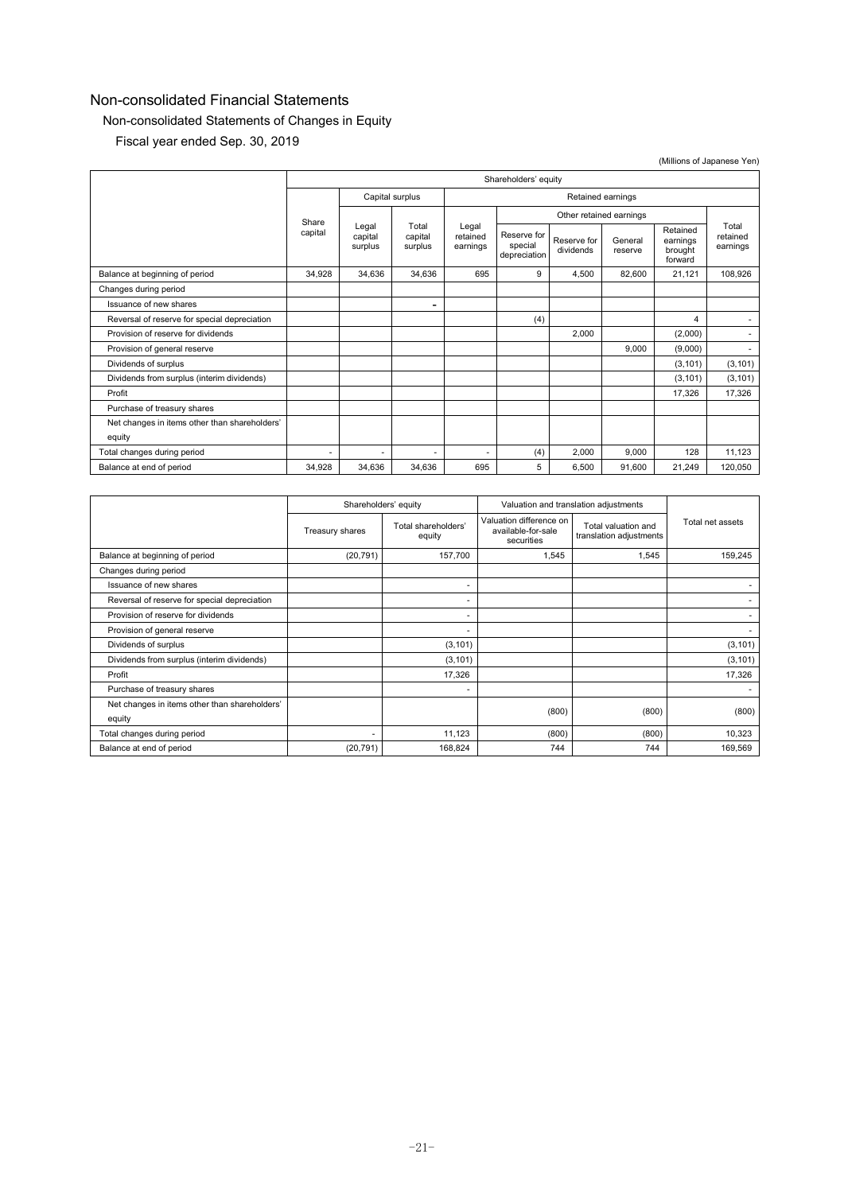## Non-consolidated Statements of Changes in Equity

Fiscal year ended Sep. 30, 2019

|                                               | Shareholders' equity |                             |                             |                               |                                        |                          |                         |                                            |                               |
|-----------------------------------------------|----------------------|-----------------------------|-----------------------------|-------------------------------|----------------------------------------|--------------------------|-------------------------|--------------------------------------------|-------------------------------|
|                                               |                      | Capital surplus             |                             |                               | Retained earnings                      |                          |                         |                                            |                               |
|                                               |                      | Share                       |                             |                               |                                        |                          | Other retained earnings |                                            |                               |
|                                               | capital              | Legal<br>capital<br>surplus | Total<br>capital<br>surplus | Legal<br>retained<br>earnings | Reserve for<br>special<br>depreciation | Reserve for<br>dividends | General<br>reserve      | Retained<br>earnings<br>brought<br>forward | Total<br>retained<br>earnings |
| Balance at beginning of period                | 34.928               | 34,636                      | 34,636                      | 695                           | 9                                      | 4,500                    | 82,600                  | 21,121                                     | 108,926                       |
| Changes during period                         |                      |                             |                             |                               |                                        |                          |                         |                                            |                               |
| Issuance of new shares                        |                      |                             | $\overline{\phantom{0}}$    |                               |                                        |                          |                         |                                            |                               |
| Reversal of reserve for special depreciation  |                      |                             |                             |                               | (4)                                    |                          |                         | 4                                          | ۰.                            |
| Provision of reserve for dividends            |                      |                             |                             |                               |                                        | 2,000                    |                         | (2,000)                                    | ۰.                            |
| Provision of general reserve                  |                      |                             |                             |                               |                                        |                          | 9.000                   | (9,000)                                    | ۰.                            |
| Dividends of surplus                          |                      |                             |                             |                               |                                        |                          |                         | (3, 101)                                   | (3, 101)                      |
| Dividends from surplus (interim dividends)    |                      |                             |                             |                               |                                        |                          |                         | (3, 101)                                   | (3, 101)                      |
| Profit                                        |                      |                             |                             |                               |                                        |                          |                         | 17,326                                     | 17,326                        |
| Purchase of treasury shares                   |                      |                             |                             |                               |                                        |                          |                         |                                            |                               |
| Net changes in items other than shareholders' |                      |                             |                             |                               |                                        |                          |                         |                                            |                               |
| equity                                        |                      |                             |                             |                               |                                        |                          |                         |                                            |                               |
| Total changes during period                   | ٠                    |                             | ٠                           | ٠                             | (4)                                    | 2,000                    | 9,000                   | 128                                        | 11,123                        |
| Balance at end of period                      | 34,928               | 34,636                      | 34,636                      | 695                           | 5                                      | 6,500                    | 91,600                  | 21,249                                     | 120,050                       |

|                                                         | Shareholders' equity |                               | Valuation and translation adjustments                       |                                                |                  |
|---------------------------------------------------------|----------------------|-------------------------------|-------------------------------------------------------------|------------------------------------------------|------------------|
|                                                         | Treasury shares      | Total shareholders'<br>equity | Valuation difference on<br>available-for-sale<br>securities | Total valuation and<br>translation adjustments | Total net assets |
| Balance at beginning of period                          | (20, 791)            | 157,700                       | 1,545                                                       | 1,545                                          | 159,245          |
| Changes during period                                   |                      |                               |                                                             |                                                |                  |
| Issuance of new shares                                  |                      | $\overline{\phantom{a}}$      |                                                             |                                                |                  |
| Reversal of reserve for special depreciation            |                      | ۰                             |                                                             |                                                |                  |
| Provision of reserve for dividends                      |                      | ٠                             |                                                             |                                                |                  |
| Provision of general reserve                            |                      |                               |                                                             |                                                |                  |
| Dividends of surplus                                    |                      | (3, 101)                      |                                                             |                                                | (3, 101)         |
| Dividends from surplus (interim dividends)              |                      | (3, 101)                      |                                                             |                                                | (3, 101)         |
| Profit                                                  |                      | 17,326                        |                                                             |                                                | 17,326           |
| Purchase of treasury shares                             |                      | ۰                             |                                                             |                                                |                  |
| Net changes in items other than shareholders'<br>equity |                      |                               | (800)                                                       | (800)                                          | (800)            |
| Total changes during period                             |                      | 11,123                        | (800)                                                       | (800)                                          | 10,323           |
| Balance at end of period                                | (20, 791)            | 168,824                       | 744                                                         | 744                                            | 169,569          |

(Millions of Japanese Yen)